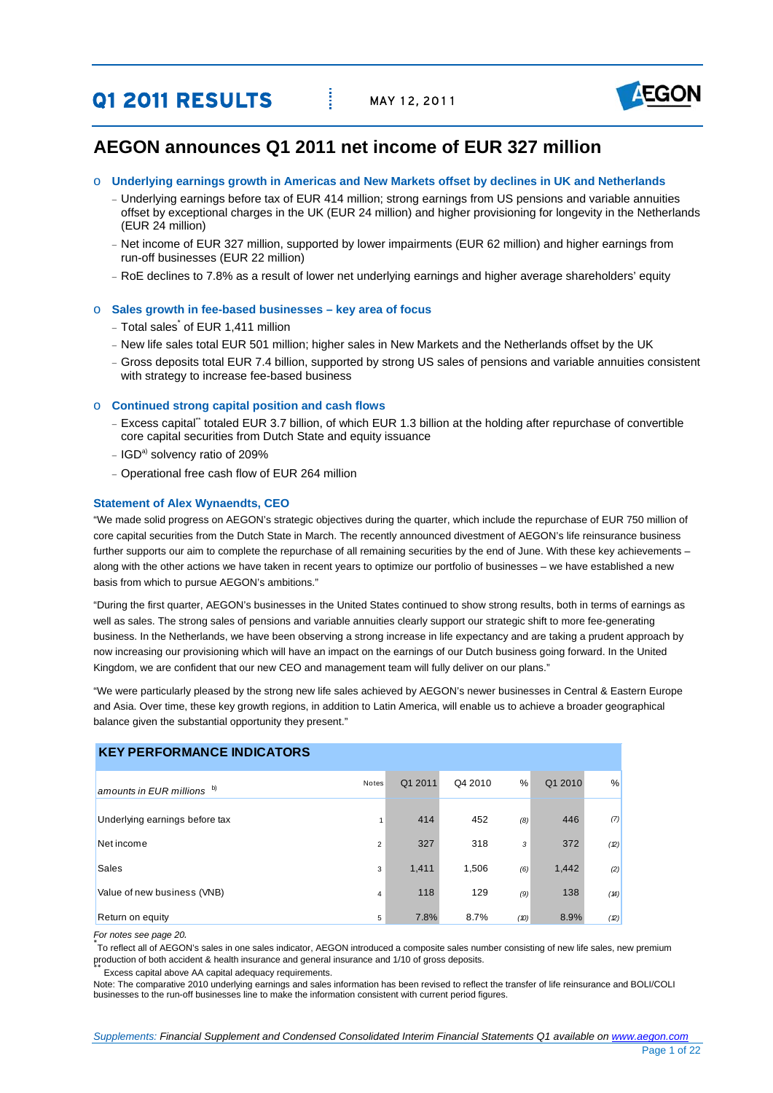# **Q1 2011 RESULTS** MAY 12, 2011



## **AEGON announces Q1 2011 net income of EUR 327 million**

- o **Underlying earnings growth in Americas and New Markets offset by declines in UK and Netherlands** 
	- − Underlying earnings before tax of EUR 414 million; strong earnings from US pensions and variable annuities offset by exceptional charges in the UK (EUR 24 million) and higher provisioning for longevity in the Netherlands (EUR 24 million)
	- − Net income of EUR 327 million, supported by lower impairments (EUR 62 million) and higher earnings from run-off businesses (EUR 22 million)
	- − RoE declines to 7.8% as a result of lower net underlying earnings and higher average shareholders' equity

#### o **Sales growth in fee-based businesses – key area of focus**

- <sup>−</sup> Total sales\* of EUR 1,411 million
- − New life sales total EUR 501 million; higher sales in New Markets and the Netherlands offset by the UK
- − Gross deposits total EUR 7.4 billion, supported by strong US sales of pensions and variable annuities consistent with strategy to increase fee-based business

#### o **Continued strong capital position and cash flows**

- − Excess capital\*\* totaled EUR 3.7 billion, of which EUR 1.3 billion at the holding after repurchase of convertible core capital securities from Dutch State and equity issuance
- − IGDa) solvency ratio of 209%
- − Operational free cash flow of EUR 264 million

#### **Statement of Alex Wynaendts, CEO**

"We made solid progress on AEGON's strategic objectives during the quarter, which include the repurchase of EUR 750 million of core capital securities from the Dutch State in March. The recently announced divestment of AEGON's life reinsurance business further supports our aim to complete the repurchase of all remaining securities by the end of June. With these key achievements along with the other actions we have taken in recent years to optimize our portfolio of businesses – we have established a new basis from which to pursue AEGON's ambitions."

"During the first quarter, AEGON's businesses in the United States continued to show strong results, both in terms of earnings as well as sales. The strong sales of pensions and variable annuities clearly support our strategic shift to more fee-generating business. In the Netherlands, we have been observing a strong increase in life expectancy and are taking a prudent approach by now increasing our provisioning which will have an impact on the earnings of our Dutch business going forward. In the United Kingdom, we are confident that our new CEO and management team will fully deliver on our plans."

"We were particularly pleased by the strong new life sales achieved by AEGON's newer businesses in Central & Eastern Europe and Asia. Over time, these key growth regions, in addition to Latin America, will enable us to achieve a broader geographical balance given the substantial opportunity they present."

#### **KEY PERFORMANCE INDICATORS**

| amounts in EUR millions $\overline{b}$ | Notes | Q1 2011 | Q4 2010 | %    | Q1 2010 | %    |
|----------------------------------------|-------|---------|---------|------|---------|------|
|                                        |       |         |         |      |         |      |
| Underlying earnings before tax         | 1     | 414     | 452     | (8)  | 446     | (7)  |
| Net income                             | 2     | 327     | 318     | 3    | 372     | (2)  |
| <b>Sales</b>                           | 3     | 1,411   | 1,506   | (6)  | 1,442   | (2)  |
| Value of new business (VNB)            | 4     | 118     | 129     | (9)  | 138     | (14) |
| Return on equity                       | 5     | 7.8%    | 8.7%    | (10) | 8.9%    | (2)  |

For notes see page 20.

.<br>To reflect all of AEGON's sales in one sales indicator, AEGON introduced a composite sales number consisting of new life sales, new premium production of both accident & health insurance and general insurance and 1/10 of gross deposits.<br>\* Excess capital above AA capital adequacy requirements.

Note: The comparative 2010 underlying earnings and sales information has been revised to reflect the transfer of life reinsurance and BOLI/COLI businesses to the run-off businesses line to make the information consistent with current period figures.

*Supplements: Financial Supplement and Condensed Consolidated Interim Financial Statements Q1 available on www.aegon.com*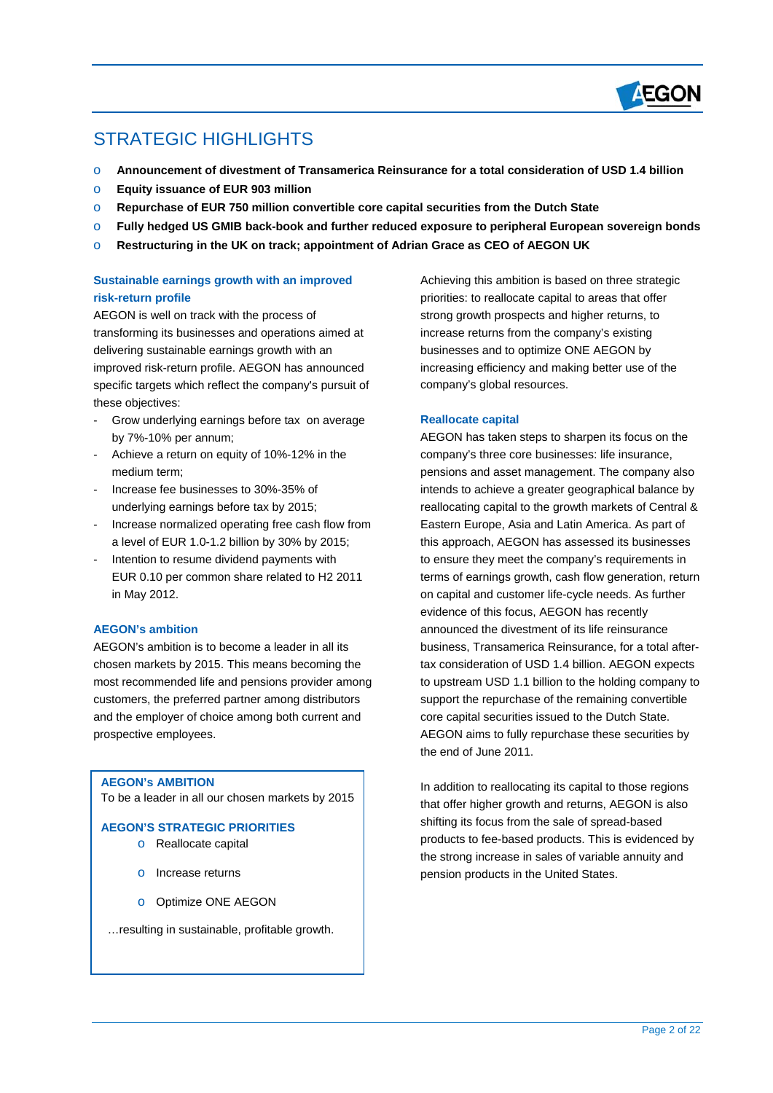

# STRATEGIC HIGHLIGHTS

 $\overline{a}$ 

- o **Announcement of divestment of Transamerica Reinsurance for a total consideration of USD 1.4 billion**
- o **Equity issuance of EUR 903 million**
- o **Repurchase of EUR 750 million convertible core capital securities from the Dutch State**
- o **Fully hedged US GMIB back-book and further reduced exposure to peripheral European sovereign bonds**
- o **Restructuring in the UK on track; appointment of Adrian Grace as CEO of AEGON UK**

## **Sustainable earnings growth with an improved risk-return profile**

AEGON is well on track with the process of transforming its businesses and operations aimed at delivering sustainable earnings growth with an improved risk-return profile. AEGON has announced specific targets which reflect the company's pursuit of these objectives:

- Grow underlying earnings before tax on average by 7%-10% per annum;
- Achieve a return on equity of 10%-12% in the medium term;
- Increase fee businesses to 30%-35% of underlying earnings before tax by 2015;
- Increase normalized operating free cash flow from a level of EUR 1.0-1.2 billion by 30% by 2015;
- Intention to resume dividend payments with EUR 0.10 per common share related to H2 2011 in May 2012.

### **AEGON's ambition**

AEGON's ambition is to become a leader in all its chosen markets by 2015. This means becoming the most recommended life and pensions provider among customers, the preferred partner among distributors and the employer of choice among both current and prospective employees.

#### **AEGON's AMBITION**

To be a leader in all our chosen markets by 2015

#### **AEGON'S STRATEGIC PRIORITIES**

- o Reallocate capital
- o Increase returns
- o Optimize ONE AEGON
- …resulting in sustainable, profitable growth.

Achieving this ambition is based on three strategic priorities: to reallocate capital to areas that offer strong growth prospects and higher returns, to increase returns from the company's existing businesses and to optimize ONE AEGON by increasing efficiency and making better use of the company's global resources.

### **Reallocate capital**

AEGON has taken steps to sharpen its focus on the company's three core businesses: life insurance, pensions and asset management. The company also intends to achieve a greater geographical balance by reallocating capital to the growth markets of Central & Eastern Europe, Asia and Latin America. As part of this approach, AEGON has assessed its businesses to ensure they meet the company's requirements in terms of earnings growth, cash flow generation, return on capital and customer life-cycle needs. As further evidence of this focus, AEGON has recently announced the divestment of its life reinsurance business, Transamerica Reinsurance, for a total aftertax consideration of USD 1.4 billion. AEGON expects to upstream USD 1.1 billion to the holding company to support the repurchase of the remaining convertible core capital securities issued to the Dutch State. AEGON aims to fully repurchase these securities by the end of June 2011.

In addition to reallocating its capital to those regions that offer higher growth and returns, AEGON is also shifting its focus from the sale of spread-based products to fee-based products. This is evidenced by the strong increase in sales of variable annuity and pension products in the United States.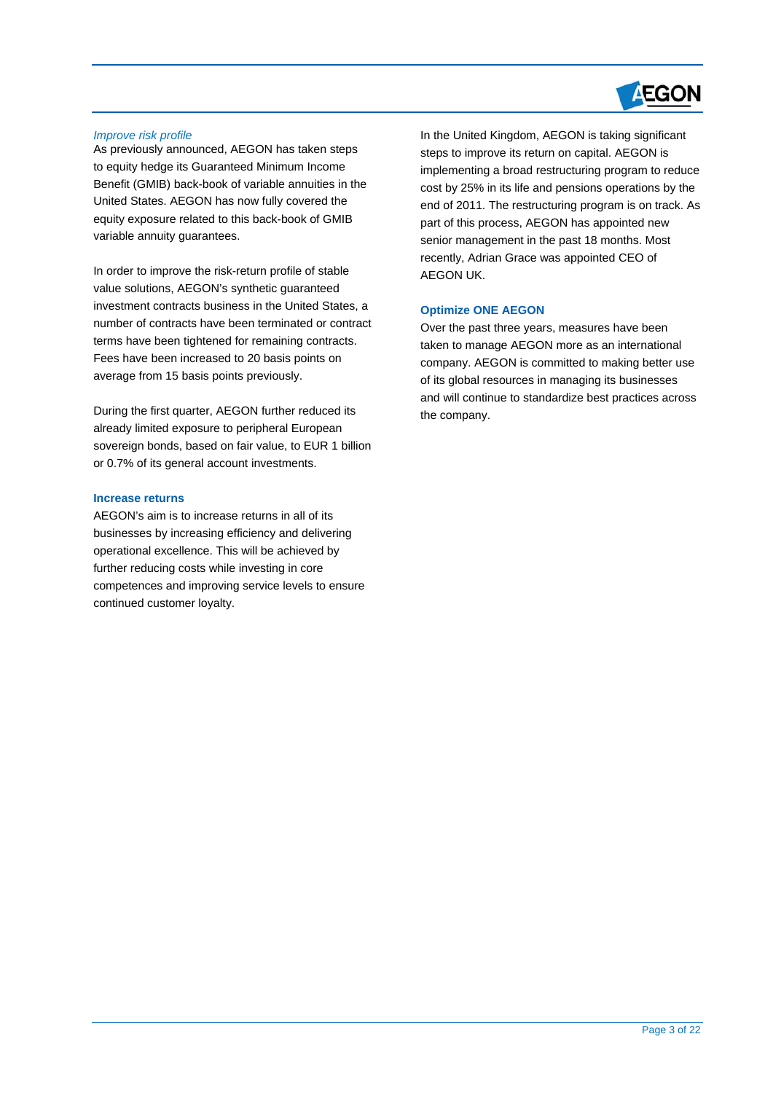

#### *Improve risk profile*

 $\overline{a}$ 

As previously announced, AEGON has taken steps to equity hedge its Guaranteed Minimum Income Benefit (GMIB) back-book of variable annuities in the United States. AEGON has now fully covered the equity exposure related to this back-book of GMIB variable annuity guarantees.

In order to improve the risk-return profile of stable value solutions, AEGON's synthetic guaranteed investment contracts business in the United States, a number of contracts have been terminated or contract terms have been tightened for remaining contracts. Fees have been increased to 20 basis points on average from 15 basis points previously.

During the first quarter, AEGON further reduced its already limited exposure to peripheral European sovereign bonds, based on fair value, to EUR 1 billion or 0.7% of its general account investments.

#### **Increase returns**

AEGON's aim is to increase returns in all of its businesses by increasing efficiency and delivering operational excellence. This will be achieved by further reducing costs while investing in core competences and improving service levels to ensure continued customer loyalty.

In the United Kingdom, AEGON is taking significant steps to improve its return on capital. AEGON is implementing a broad restructuring program to reduce cost by 25% in its life and pensions operations by the end of 2011. The restructuring program is on track. As part of this process, AEGON has appointed new senior management in the past 18 months. Most recently, Adrian Grace was appointed CEO of AEGON UK.

#### **Optimize ONE AEGON**

Over the past three years, measures have been taken to manage AEGON more as an international company. AEGON is committed to making better use of its global resources in managing its businesses and will continue to standardize best practices across the company.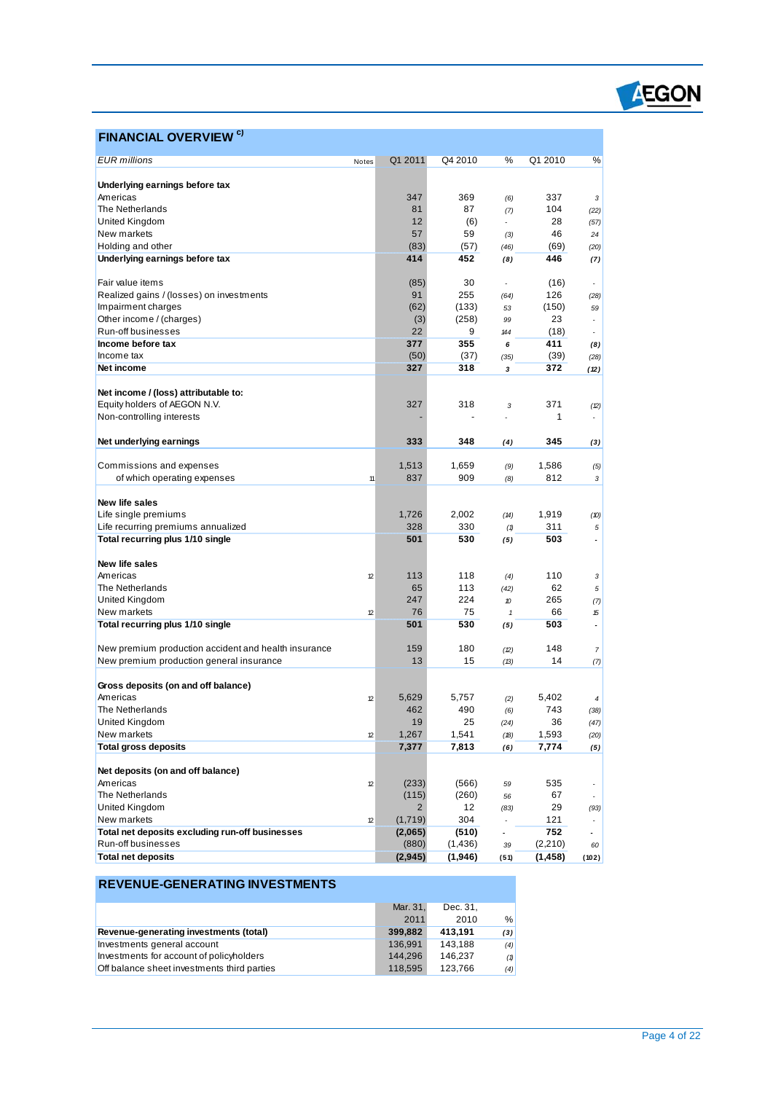

## **FINANCIAL OVERVIEW c)**

 $\overline{a}$ 

| <b>EUR</b> millions                                  | Notes | Q1 2011        | Q4 2010  | %                        | Q1 2010  | %                        |
|------------------------------------------------------|-------|----------------|----------|--------------------------|----------|--------------------------|
| Underlying earnings before tax                       |       |                |          |                          |          |                          |
| Americas                                             |       | 347            | 369      |                          | 337      |                          |
| The Netherlands                                      |       | 81             | 87       | (6)                      | 104      | 3                        |
| United Kingdom                                       |       | 12             | (6)      | (7)                      | 28       | (22)                     |
| New markets                                          |       | 57             | 59       |                          | 46       | (57)                     |
| Holding and other                                    |       | (83)           |          | (3)                      | (69)     | 24                       |
|                                                      |       | 414            | (57)     | (46)                     |          | (20)                     |
| Underlying earnings before tax                       |       |                | 452      | (8)                      | 446      | (7)                      |
| Fair value items                                     |       |                | 30       |                          |          |                          |
|                                                      |       | (85)<br>91     |          | $\overline{\phantom{a}}$ | (16)     | $\overline{\phantom{a}}$ |
| Realized gains / (losses) on investments             |       |                | 255      | (64)                     | 126      | (28)                     |
| Impairment charges                                   |       | (62)           | (133)    | 53                       | (150)    | 59                       |
| Other income / (charges)                             |       | (3)            | (258)    | 99                       | 23       | ÷,                       |
| Run-off businesses                                   |       | 22             | 9        | 144                      | (18)     |                          |
| Income before tax                                    |       | 377            | 355      | 6                        | 411      | (8)                      |
| Income tax                                           |       | (50)           | (37)     | (35)                     | (39)     | (28)                     |
| Net income                                           |       | 327            | 318      | 3                        | 372      | (12)                     |
|                                                      |       |                |          |                          |          |                          |
| Net income / (loss) attributable to:                 |       |                |          |                          |          |                          |
| Equity holders of AEGON N.V.                         |       | 327            | 318      | 3                        | 371      | (2)                      |
| Non-controlling interests                            |       |                |          |                          | 1        |                          |
|                                                      |       |                |          |                          |          |                          |
| Net underlying earnings                              |       | 333            | 348      | (4)                      | 345      | (3)                      |
|                                                      |       |                |          |                          |          |                          |
| Commissions and expenses                             |       | 1,513          | 1,659    | (9)                      | 1,586    | (5)                      |
| of which operating expenses                          | 11    | 837            | 909      | (8)                      | 812      | 3                        |
|                                                      |       |                |          |                          |          |                          |
| New life sales                                       |       |                |          |                          |          |                          |
| Life single premiums                                 |       | 1,726          | 2,002    | (14)                     | 1,919    | (10)                     |
| Life recurring premiums annualized                   |       | 328            | 330      | (1)                      | 311      | 5                        |
| Total recurring plus 1/10 single                     |       | 501            | 530      | (5)                      | 503      | $\overline{a}$           |
|                                                      |       |                |          |                          |          |                          |
| New life sales                                       |       |                |          |                          |          |                          |
| Americas                                             | 12    | 113            | 118      | (4)                      | 110      | 3                        |
| The Netherlands                                      |       | 65             | 113      | (42)                     | 62       | 5                        |
| United Kingdom                                       |       | 247            | 224      | 10                       | 265      | (7)                      |
| New markets                                          | 12    | 76             | 75       | $\mathbf{1}$             | 66       | 15                       |
| Total recurring plus 1/10 single                     |       | 501            | 530      | (5)                      | 503      | $\blacksquare$           |
|                                                      |       |                |          |                          |          |                          |
| New premium production accident and health insurance |       | 159            | 180      | (2)                      | 148      | 7                        |
| New premium production general insurance             |       | 13             | 15       | (13)                     | 14       | (7)                      |
|                                                      |       |                |          |                          |          |                          |
| Gross deposits (on and off balance)                  |       |                |          |                          |          |                          |
| Americas                                             | 12    | 5,629          | 5,757    | (2)                      | 5,402    | 4                        |
| The Netherlands                                      |       | 462            | 490      | (6)                      | 743      | (38)                     |
| United Kingdom                                       |       | 19             | 25       | (24)                     | 36       | (47)                     |
| New markets                                          | 12    | 1,267          | 1,541    | (18)                     | 1,593    | (20)                     |
| <b>Total gross deposits</b>                          |       | 7,377          | 7,813    | (6)                      | 7,774    | (5)                      |
|                                                      |       |                |          |                          |          |                          |
| Net deposits (on and off balance)                    |       |                |          |                          |          |                          |
| Americas                                             | 12    | (233)          | (566)    | 59                       | 535      |                          |
| The Netherlands                                      |       | (115)          | (260)    | 56                       | 67       | $\overline{\phantom{a}}$ |
| United Kingdom                                       |       | $\overline{2}$ | 12       | (83)                     | 29       | (93)                     |
| New markets                                          | 12    | (1,719)        | 304      |                          | 121      |                          |
| Total net deposits excluding run-off businesses      |       | (2,065)        | (510)    |                          | 752      | $\mathbf{r}$             |
| Run-off businesses                                   |       | (880)          | (1, 436) | 39                       | (2,210)  | 60                       |
| <b>Total net deposits</b>                            |       | (2, 945)       | (1,946)  | (51)                     | (1, 458) | (102)                    |

## **REVENUE-GENERATING INVESTMENTS**

|                                             | Mar. 31. | Dec. 31. |     |
|---------------------------------------------|----------|----------|-----|
|                                             | 2011     | 2010     | %   |
| Revenue-generating investments (total)      | 399,882  | 413.191  | (3) |
| Investments general account                 | 136.991  | 143.188  | (4) |
| Investments for account of policyholders    | 144.296  | 146.237  | (1) |
| Off balance sheet investments third parties | 118.595  | 123.766  | (4) |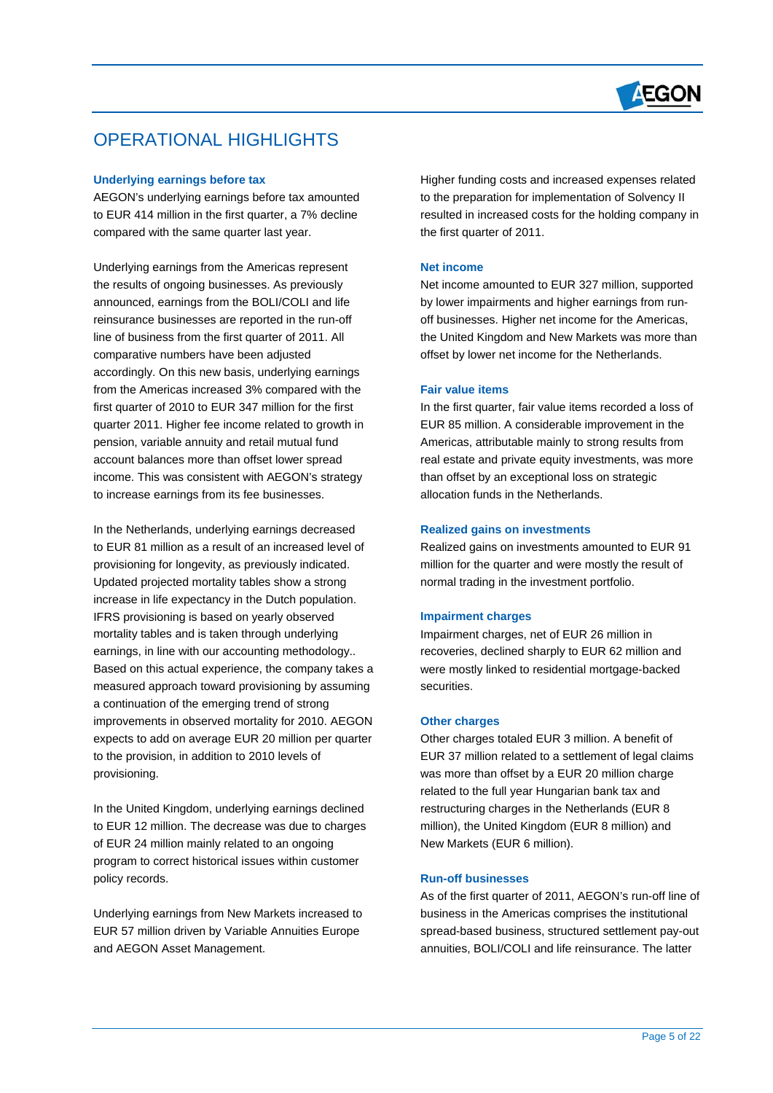

## OPERATIONAL HIGHLIGHTS

#### **Underlying earnings before tax**

 $\overline{a}$ 

AEGON's underlying earnings before tax amounted to EUR 414 million in the first quarter, a 7% decline compared with the same quarter last year.

Underlying earnings from the Americas represent the results of ongoing businesses. As previously announced, earnings from the BOLI/COLI and life reinsurance businesses are reported in the run-off line of business from the first quarter of 2011. All comparative numbers have been adjusted accordingly. On this new basis, underlying earnings from the Americas increased 3% compared with the first quarter of 2010 to EUR 347 million for the first quarter 2011. Higher fee income related to growth in pension, variable annuity and retail mutual fund account balances more than offset lower spread income. This was consistent with AEGON's strategy to increase earnings from its fee businesses.

In the Netherlands, underlying earnings decreased to EUR 81 million as a result of an increased level of provisioning for longevity, as previously indicated. Updated projected mortality tables show a strong increase in life expectancy in the Dutch population. IFRS provisioning is based on yearly observed mortality tables and is taken through underlying earnings, in line with our accounting methodology.. Based on this actual experience, the company takes a measured approach toward provisioning by assuming a continuation of the emerging trend of strong improvements in observed mortality for 2010. AEGON expects to add on average EUR 20 million per quarter to the provision, in addition to 2010 levels of provisioning.

In the United Kingdom, underlying earnings declined to EUR 12 million. The decrease was due to charges of EUR 24 million mainly related to an ongoing program to correct historical issues within customer policy records.

Underlying earnings from New Markets increased to EUR 57 million driven by Variable Annuities Europe and AEGON Asset Management.

Higher funding costs and increased expenses related to the preparation for implementation of Solvency II resulted in increased costs for the holding company in the first quarter of 2011.

### **Net income**

Net income amounted to EUR 327 million, supported by lower impairments and higher earnings from runoff businesses. Higher net income for the Americas, the United Kingdom and New Markets was more than offset by lower net income for the Netherlands.

#### **Fair value items**

In the first quarter, fair value items recorded a loss of EUR 85 million. A considerable improvement in the Americas, attributable mainly to strong results from real estate and private equity investments, was more than offset by an exceptional loss on strategic allocation funds in the Netherlands.

#### **Realized gains on investments**

Realized gains on investments amounted to EUR 91 million for the quarter and were mostly the result of normal trading in the investment portfolio.

#### **Impairment charges**

Impairment charges, net of EUR 26 million in recoveries, declined sharply to EUR 62 million and were mostly linked to residential mortgage-backed securities.

#### **Other charges**

Other charges totaled EUR 3 million. A benefit of EUR 37 million related to a settlement of legal claims was more than offset by a EUR 20 million charge related to the full year Hungarian bank tax and restructuring charges in the Netherlands (EUR 8 million), the United Kingdom (EUR 8 million) and New Markets (EUR 6 million).

#### **Run-off businesses**

As of the first quarter of 2011, AEGON's run-off line of business in the Americas comprises the institutional spread-based business, structured settlement pay-out annuities, BOLI/COLI and life reinsurance. The latter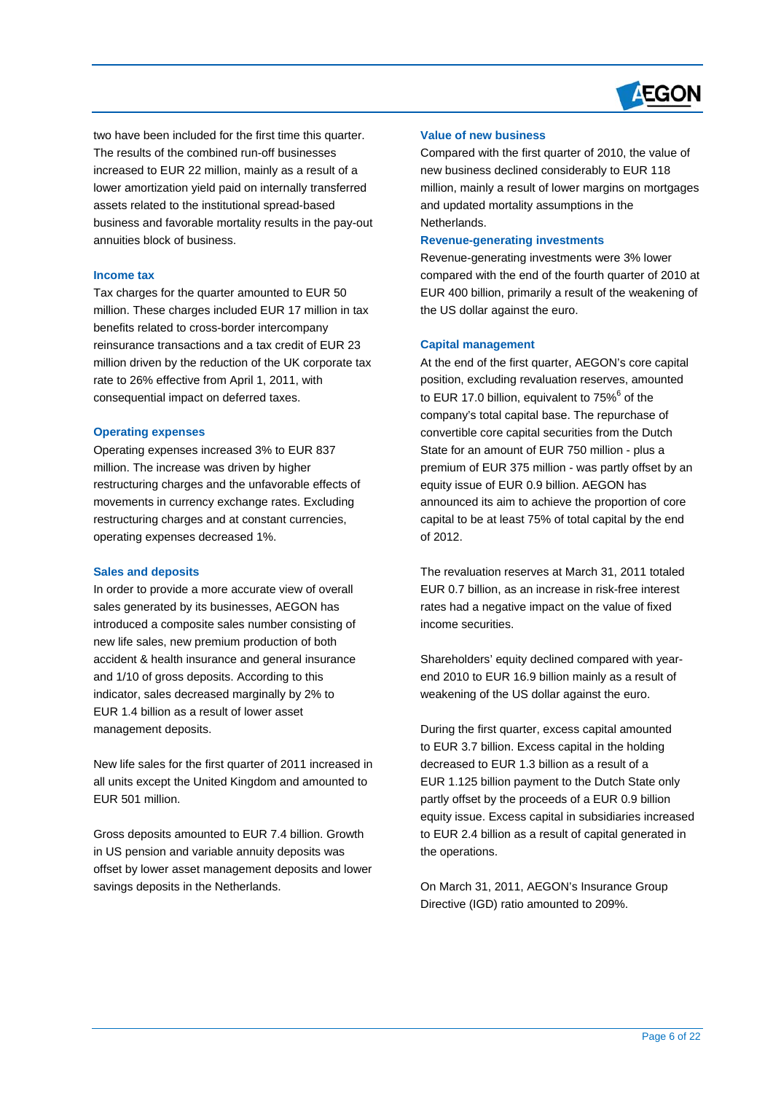

two have been included for the first time this quarter. The results of the combined run-off businesses increased to EUR 22 million, mainly as a result of a lower amortization yield paid on internally transferred assets related to the institutional spread-based business and favorable mortality results in the pay-out annuities block of business.

#### **Income tax**

 $\overline{a}$ 

Tax charges for the quarter amounted to EUR 50 million. These charges included EUR 17 million in tax benefits related to cross-border intercompany reinsurance transactions and a tax credit of EUR 23 million driven by the reduction of the UK corporate tax rate to 26% effective from April 1, 2011, with consequential impact on deferred taxes.

#### **Operating expenses**

Operating expenses increased 3% to EUR 837 million. The increase was driven by higher restructuring charges and the unfavorable effects of movements in currency exchange rates. Excluding restructuring charges and at constant currencies, operating expenses decreased 1%.

#### **Sales and deposits**

In order to provide a more accurate view of overall sales generated by its businesses, AEGON has introduced a composite sales number consisting of new life sales, new premium production of both accident & health insurance and general insurance and 1/10 of gross deposits. According to this indicator, sales decreased marginally by 2% to EUR 1.4 billion as a result of lower asset management deposits.

New life sales for the first quarter of 2011 increased in all units except the United Kingdom and amounted to EUR 501 million.

Gross deposits amounted to EUR 7.4 billion. Growth in US pension and variable annuity deposits was offset by lower asset management deposits and lower savings deposits in the Netherlands.

### **Value of new business**

Compared with the first quarter of 2010, the value of new business declined considerably to EUR 118 million, mainly a result of lower margins on mortgages and updated mortality assumptions in the Netherlands.

#### **Revenue-generating investments**

Revenue-generating investments were 3% lower compared with the end of the fourth quarter of 2010 at EUR 400 billion, primarily a result of the weakening of the US dollar against the euro.

#### **Capital management**

At the end of the first quarter, AEGON's core capital position, excluding revaluation reserves, amounted to EUR 17.0 billion, equivalent to  $75\%$ <sup>6</sup> of the company's total capital base. The repurchase of convertible core capital securities from the Dutch State for an amount of EUR 750 million - plus a premium of EUR 375 million - was partly offset by an equity issue of EUR 0.9 billion. AEGON has announced its aim to achieve the proportion of core capital to be at least 75% of total capital by the end of 2012.

The revaluation reserves at March 31, 2011 totaled EUR 0.7 billion, as an increase in risk-free interest rates had a negative impact on the value of fixed income securities.

Shareholders' equity declined compared with yearend 2010 to EUR 16.9 billion mainly as a result of weakening of the US dollar against the euro.

During the first quarter, excess capital amounted to EUR 3.7 billion. Excess capital in the holding decreased to EUR 1.3 billion as a result of a EUR 1.125 billion payment to the Dutch State only partly offset by the proceeds of a EUR 0.9 billion equity issue. Excess capital in subsidiaries increased to EUR 2.4 billion as a result of capital generated in the operations.

On March 31, 2011, AEGON's Insurance Group Directive (IGD) ratio amounted to 209%.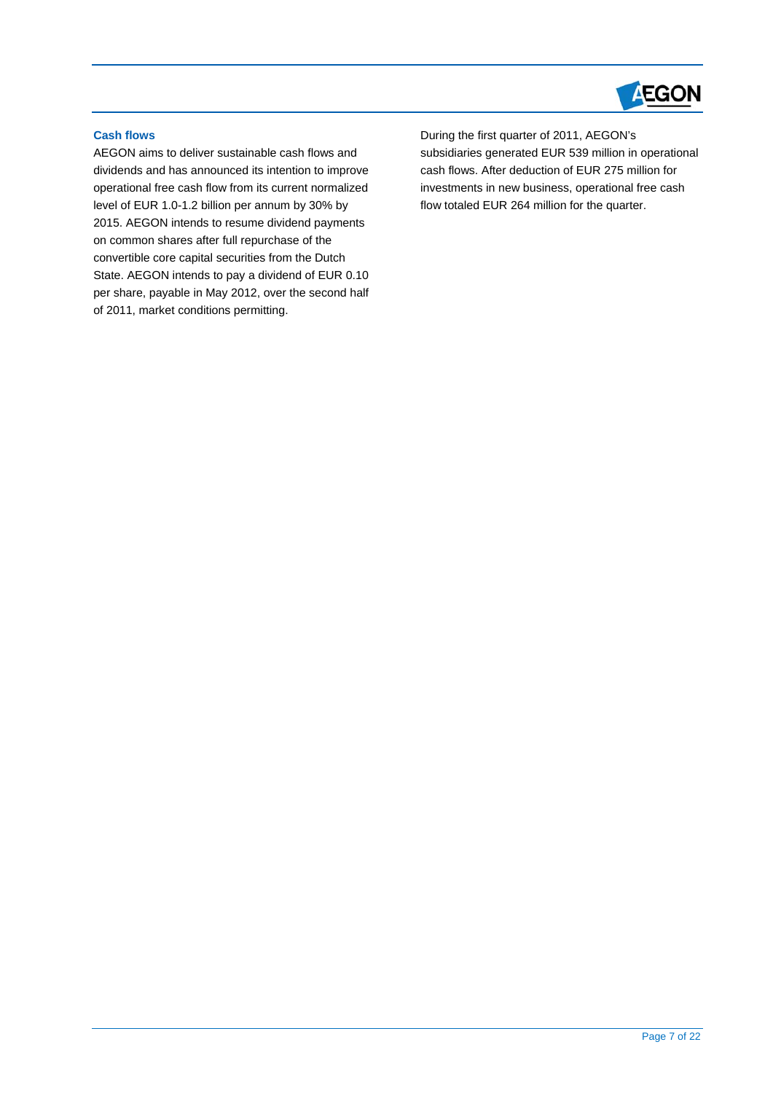

## **Cash flows**

 $\overline{a}$ 

AEGON aims to deliver sustainable cash flows and dividends and has announced its intention to improve operational free cash flow from its current normalized level of EUR 1.0-1.2 billion per annum by 30% by 2015. AEGON intends to resume dividend payments on common shares after full repurchase of the convertible core capital securities from the Dutch State. AEGON intends to pay a dividend of EUR 0.10 per share, payable in May 2012, over the second half of 2011, market conditions permitting.

During the first quarter of 2011, AEGON's subsidiaries generated EUR 539 million in operational cash flows. After deduction of EUR 275 million for investments in new business, operational free cash flow totaled EUR 264 million for the quarter.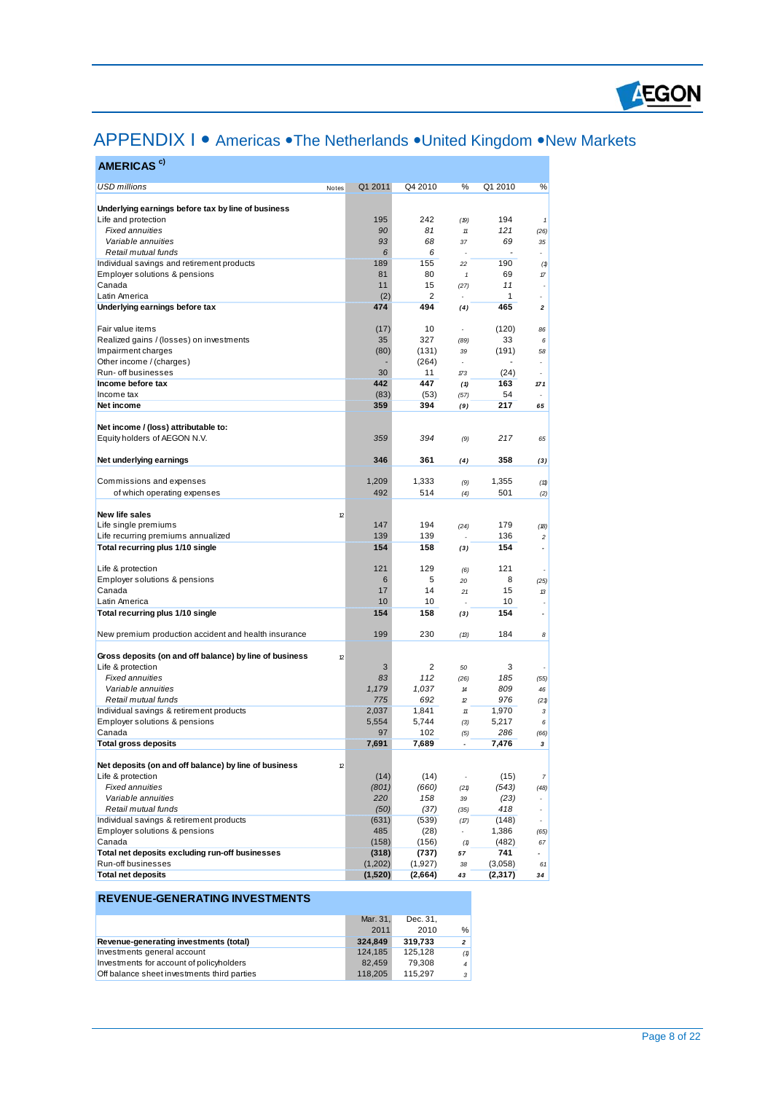

# APPENDIX I • Americas • The Netherlands • United Kingdom • New Markets

| AMERICAS <sup>c)</sup>                                  |                    |                    |                                  |                       |                             |
|---------------------------------------------------------|--------------------|--------------------|----------------------------------|-----------------------|-----------------------------|
| <b>USD millions</b><br>Notes                            | Q1 2011            | Q4 2010            | ℅                                | Q1 2010               | %                           |
|                                                         |                    |                    |                                  |                       |                             |
| Underlying earnings before tax by line of business      |                    |                    |                                  |                       |                             |
| Life and protection<br><b>Fixed annuities</b>           | 195<br>90          | 242<br>81          | (19)<br>$11$                     | 194<br>121            | $\pmb{\mathcal{I}}$<br>(26) |
| Variable annuities                                      | 93                 | 68                 | 37                               | 69                    | 35                          |
| Retail mutual funds                                     | 6                  | 6                  |                                  | $\tilde{\phantom{a}}$ | ä,                          |
| Individual savings and retirement products              | 189                | 155                | 22                               | 190                   | (1)                         |
| Employer solutions & pensions                           | 81                 | 80                 | $\pmb{\mathcal{I}}$              | 69                    | 17                          |
| Canada                                                  | 11                 | 15                 | (27)                             | 11                    |                             |
| Latin America                                           | (2)                | 2                  |                                  | 1                     |                             |
| Underlying earnings before tax                          | 474                | 494                | (4)                              | 465                   | $\mathbf 2$                 |
| Fair value items                                        | (17)               | 10                 |                                  | (120)                 | 86                          |
| Realized gains / (losses) on investments                | 35                 | 327                | (89)                             | 33                    | 6                           |
| Impairment charges                                      | (80)               | (131)              | 39                               | (191)                 | 58                          |
| Other income / (charges)                                |                    | (264)              | ÷.                               |                       |                             |
| Run- off businesses                                     | 30                 | 11                 | 173                              | (24)                  | $\sim$                      |
| Income before tax<br>Income tax                         | 442                | 447                | (1)                              | 163<br>54             | 171                         |
| Net income                                              | (83)<br>359        | (53)<br>394        | (57)<br>(9)                      | 217                   | 65                          |
|                                                         |                    |                    |                                  |                       |                             |
| Net income / (loss) attributable to:                    |                    |                    |                                  |                       |                             |
| Equity holders of AEGON N.V.                            | 359                | 394                | (9)                              | 217                   | 65                          |
|                                                         |                    |                    |                                  |                       |                             |
| Net underlying earnings                                 | 346                | 361                | (4)                              | 358                   | (3)                         |
| Commissions and expenses                                | 1,209              | 1,333              | (9)                              | 1,355                 | (11)                        |
| of which operating expenses                             | 492                | 514                | (4)                              | 501                   | (2)                         |
|                                                         |                    |                    |                                  |                       |                             |
| New life sales                                          | 12                 |                    |                                  |                       |                             |
| Life single premiums                                    | 147                | 194                | (24)                             | 179                   | (18)                        |
| Life recurring premiums annualized                      | 139                | 139                |                                  | 136                   | 2                           |
| Total recurring plus 1/10 single                        | 154                | 158                | (3)                              | 154                   | $\overline{\phantom{a}}$    |
| Life & protection                                       | 121                | 129                | (6)                              | 121                   |                             |
| Employer solutions & pensions                           | 6                  | 5                  | 20                               | 8                     | (25)                        |
| Canada                                                  | 17                 | 14                 | 21                               | 15                    | 13                          |
| Latin America                                           | 10                 | 10                 |                                  | 10                    |                             |
| Total recurring plus 1/10 single                        | 154                | 158                | (3)                              | 154                   |                             |
| New premium production accident and health insurance    | 199                | 230                | (13)                             | 184                   | 8                           |
|                                                         |                    |                    |                                  |                       |                             |
| Gross deposits (on and off balance) by line of business | 12                 |                    |                                  |                       |                             |
| Life & protection                                       | 3                  | 2                  | 50                               | 3                     |                             |
| <b>Fixed annuities</b>                                  | 83                 | 112                | (26)                             | 185                   | (55)                        |
| Variable annuities<br>Retail mutual funds               | 1,179<br>775       | 1,037<br>692       | $14$                             | 809<br>976            | 46                          |
| Individual savings & retirement products                | 2,037              | 1,841              | 12<br>$11$                       | 1,970                 | (21)<br>3                   |
| Employer solutions & pensions                           | 5,554              | 5,744              | (3)                              | 5,217                 | 6                           |
| Canada                                                  | 97                 | 102                | (5)                              | 286                   | (66)                        |
| Total gross deposits                                    | 7,691              | 7,689              |                                  | 7,476                 | 3                           |
|                                                         |                    |                    |                                  |                       |                             |
| Net deposits (on and off balance) by line of business   | 12                 |                    |                                  |                       |                             |
| Life & protection<br><b>Fixed annuities</b>             | (14)<br>(801)      | (14)<br>(660)      | $\overline{\phantom{a}}$<br>(21) | (15)<br>(543)         | $\overline{7}$<br>(48)      |
| Variable annuities                                      | 220                | 158                | 39                               | (23)                  |                             |
| Retail mutual funds                                     | (50)               | (37)               | (35)                             | 418                   | $\Box$                      |
| Individual savings & retirement products                | (631)              | (539)              | (17)                             | (148)                 | ÷.                          |
| Employer solutions & pensions                           | 485                | (28)               | $\blacksquare$                   | 1,386                 | (65)                        |
| Canada                                                  | (158)              | (156)              | (1)                              | (482)                 | 67                          |
| Total net deposits excluding run-off businesses         | (318)              | (737)              | 57                               | 741                   | $\overline{\phantom{0}}$    |
| Run-off businesses<br><b>Total net deposits</b>         | (1,202)<br>(1,520) | (1,927)<br>(2,664) | 38                               | (3,058)<br>(2,317)    | 61                          |
|                                                         |                    |                    | 43                               |                       | 34                          |

## **REVENUE-GENERATING INVESTMENTS**

 $\overline{a}$ 

|                                             | Mar. 31. | Dec. 31. |                |
|---------------------------------------------|----------|----------|----------------|
|                                             | 2011     | 2010     | %              |
| Revenue-generating investments (total)      | 324.849  | 319.733  | $\overline{2}$ |
| Investments general account                 | 124.185  | 125.128  | (1)            |
| Investments for account of policyholders    | 82.459   | 79.308   | $\mathbf{A}$   |
| Off balance sheet investments third parties | 118,205  | 115.297  | $\mathcal{R}$  |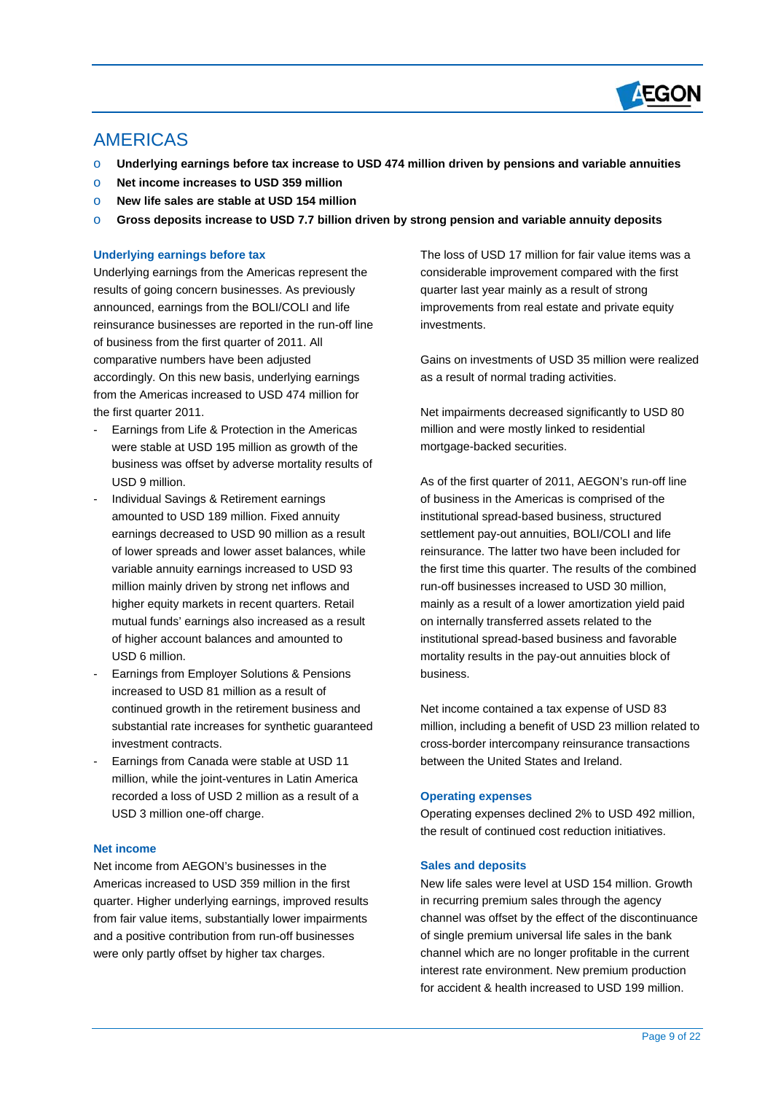

## AMERICAS

 $\overline{a}$ 

- o **Underlying earnings before tax increase to USD 474 million driven by pensions and variable annuities**
- o **Net income increases to USD 359 million**
- o **New life sales are stable at USD 154 million**
- o **Gross deposits increase to USD 7.7 billion driven by strong pension and variable annuity deposits**

#### **Underlying earnings before tax**

Underlying earnings from the Americas represent the results of going concern businesses. As previously announced, earnings from the BOLI/COLI and life reinsurance businesses are reported in the run-off line of business from the first quarter of 2011. All comparative numbers have been adjusted accordingly. On this new basis, underlying earnings from the Americas increased to USD 474 million for the first quarter 2011.

- Earnings from Life & Protection in the Americas were stable at USD 195 million as growth of the business was offset by adverse mortality results of USD 9 million.
- Individual Savings & Retirement earnings amounted to USD 189 million. Fixed annuity earnings decreased to USD 90 million as a result of lower spreads and lower asset balances, while variable annuity earnings increased to USD 93 million mainly driven by strong net inflows and higher equity markets in recent quarters. Retail mutual funds' earnings also increased as a result of higher account balances and amounted to USD 6 million.
- Earnings from Employer Solutions & Pensions increased to USD 81 million as a result of continued growth in the retirement business and substantial rate increases for synthetic guaranteed investment contracts.
- Earnings from Canada were stable at USD 11 million, while the joint-ventures in Latin America recorded a loss of USD 2 million as a result of a USD 3 million one-off charge.

#### **Net income**

Net income from AEGON's businesses in the Americas increased to USD 359 million in the first quarter. Higher underlying earnings, improved results from fair value items, substantially lower impairments and a positive contribution from run-off businesses were only partly offset by higher tax charges.

The loss of USD 17 million for fair value items was a considerable improvement compared with the first quarter last year mainly as a result of strong improvements from real estate and private equity investments.

Gains on investments of USD 35 million were realized as a result of normal trading activities.

Net impairments decreased significantly to USD 80 million and were mostly linked to residential mortgage-backed securities.

As of the first quarter of 2011, AEGON's run-off line of business in the Americas is comprised of the institutional spread-based business, structured settlement pay-out annuities, BOLI/COLI and life reinsurance. The latter two have been included for the first time this quarter. The results of the combined run-off businesses increased to USD 30 million, mainly as a result of a lower amortization yield paid on internally transferred assets related to the institutional spread-based business and favorable mortality results in the pay-out annuities block of business.

Net income contained a tax expense of USD 83 million, including a benefit of USD 23 million related to cross-border intercompany reinsurance transactions between the United States and Ireland.

#### **Operating expenses**

Operating expenses declined 2% to USD 492 million, the result of continued cost reduction initiatives.

#### **Sales and deposits**

New life sales were level at USD 154 million. Growth in recurring premium sales through the agency channel was offset by the effect of the discontinuance of single premium universal life sales in the bank channel which are no longer profitable in the current interest rate environment. New premium production for accident & health increased to USD 199 million.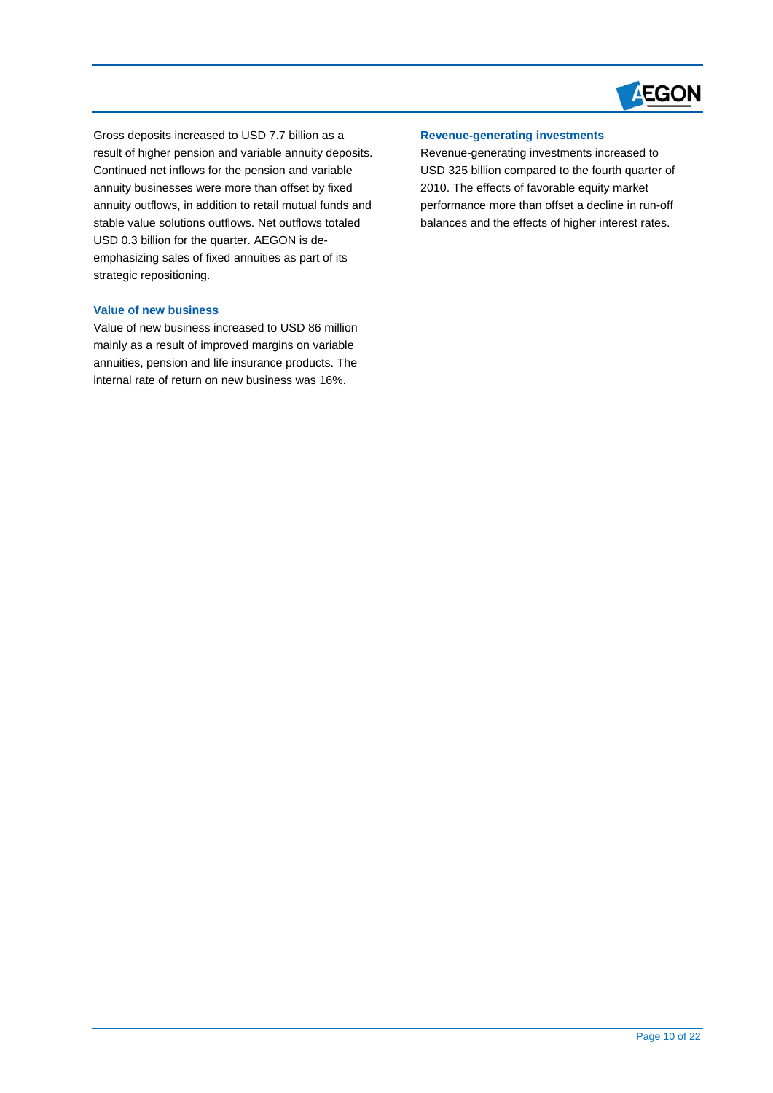

Gross deposits increased to USD 7.7 billion as a result of higher pension and variable annuity deposits. Continued net inflows for the pension and variable annuity businesses were more than offset by fixed annuity outflows, in addition to retail mutual funds and stable value solutions outflows. Net outflows totaled USD 0.3 billion for the quarter. AEGON is deemphasizing sales of fixed annuities as part of its strategic repositioning.

#### **Value of new business**

 $\overline{a}$ 

Value of new business increased to USD 86 million mainly as a result of improved margins on variable annuities, pension and life insurance products. The internal rate of return on new business was 16%.

## **Revenue-generating investments**

Revenue-generating investments increased to USD 325 billion compared to the fourth quarter of 2010. The effects of favorable equity market performance more than offset a decline in run-off balances and the effects of higher interest rates.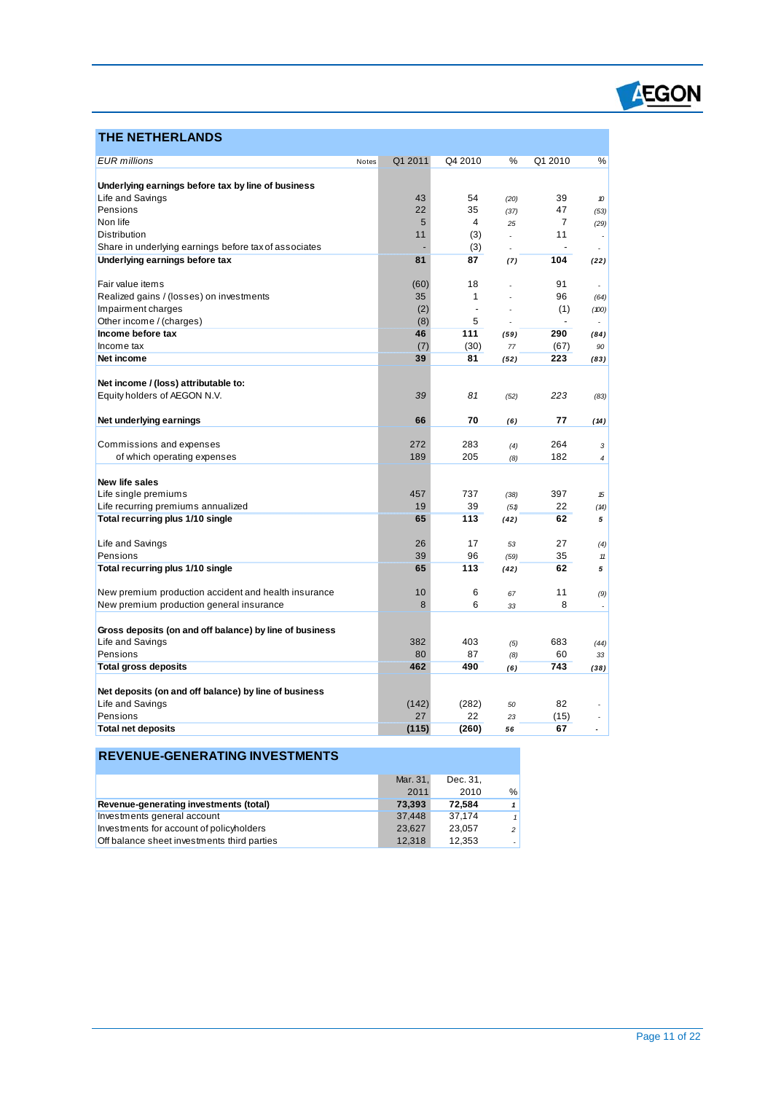

## **THE NETHERLANDS**

 $\overline{a}$ 

| Underlying earnings before tax by line of business<br>Life and Savings<br>54<br>39<br>43<br>(20)<br>10<br>Pensions<br>35<br>22<br>47<br>(37)<br>(53)<br>Non life<br>5<br>4<br>$\overline{7}$<br>25<br>(29)<br>Distribution<br>(3)<br>11<br>11<br>÷.<br>Share in underlying earnings before tax of associates<br>(3)<br>÷.<br>Underlying earnings before tax<br>81<br>87<br>104<br>(22)<br>(7)<br>Fair value items<br>18<br>91<br>(60)<br>٠<br>35<br>1<br>96<br>Realized gains / (losses) on investments<br>(64)<br>Impairment charges<br>(2)<br>(1)<br>÷,<br>(100)<br>Other income / (charges)<br>(8)<br>5<br>$\blacksquare$<br>÷<br>111<br>290<br>Income before tax<br>46<br>(59)<br>(84)<br>Income tax<br>(7)<br>(30)<br>(67)<br>77<br>90<br>39<br>81<br>223<br>Net income<br>(52)<br>(83)<br>Net income / (loss) attributable to:<br>Equity holders of AEGON N.V.<br>39<br>81<br>223<br>(52)<br>(83)<br>66<br>70<br>77<br>Net underlying earnings<br>(6)<br>(14)<br>264<br>Commissions and expenses<br>272<br>283<br>(4)<br>3<br>182<br>of which operating expenses<br>189<br>205<br>(8)<br>$\overline{4}$<br>New life sales<br>Life single premiums<br>737<br>397<br>457<br>(38)<br>15<br>22<br>Life recurring premiums annualized<br>19<br>39<br>(51)<br>(14)<br>Total recurring plus 1/10 single<br>65<br>113<br>62<br>5<br>(42)<br>Life and Savings<br>17<br>27<br>26<br>53<br>(4)<br>Pensions<br>39<br>96<br>35<br>(59)<br>$11$<br>Total recurring plus 1/10 single<br>62<br>65<br>113<br>(42)<br>5<br>New premium production accident and health insurance<br>10<br>6<br>11<br>67<br>(9)<br>New premium production general insurance<br>8<br>6<br>8<br>33<br>$\overline{\phantom{a}}$<br>Gross deposits (on and off balance) by line of business<br>Life and Savings<br>382<br>403<br>683<br>(5)<br>(44)<br>Pensions<br>80<br>60<br>87<br>(8)<br>33<br><b>Total gross deposits</b><br>462<br>490<br>743<br>(38)<br>(6)<br>Net deposits (on and off balance) by line of business<br>Life and Savings<br>82<br>(142)<br>(282)<br>50<br>Pensions<br>27<br>22<br>(15)<br>23<br>$\overline{\phantom{a}}$<br><b>Total net deposits</b><br>(115)<br>(260)<br>67<br>56<br>٠ | <b>EUR</b> millions | Q1 2011<br>Notes | Q4 2010 | % | Q1 2010 | % |
|------------------------------------------------------------------------------------------------------------------------------------------------------------------------------------------------------------------------------------------------------------------------------------------------------------------------------------------------------------------------------------------------------------------------------------------------------------------------------------------------------------------------------------------------------------------------------------------------------------------------------------------------------------------------------------------------------------------------------------------------------------------------------------------------------------------------------------------------------------------------------------------------------------------------------------------------------------------------------------------------------------------------------------------------------------------------------------------------------------------------------------------------------------------------------------------------------------------------------------------------------------------------------------------------------------------------------------------------------------------------------------------------------------------------------------------------------------------------------------------------------------------------------------------------------------------------------------------------------------------------------------------------------------------------------------------------------------------------------------------------------------------------------------------------------------------------------------------------------------------------------------------------------------------------------------------------------------------------------------------------------------------------------------------------------------------------------------------------------------------------------------------------------------------------------|---------------------|------------------|---------|---|---------|---|
|                                                                                                                                                                                                                                                                                                                                                                                                                                                                                                                                                                                                                                                                                                                                                                                                                                                                                                                                                                                                                                                                                                                                                                                                                                                                                                                                                                                                                                                                                                                                                                                                                                                                                                                                                                                                                                                                                                                                                                                                                                                                                                                                                                              |                     |                  |         |   |         |   |
|                                                                                                                                                                                                                                                                                                                                                                                                                                                                                                                                                                                                                                                                                                                                                                                                                                                                                                                                                                                                                                                                                                                                                                                                                                                                                                                                                                                                                                                                                                                                                                                                                                                                                                                                                                                                                                                                                                                                                                                                                                                                                                                                                                              |                     |                  |         |   |         |   |
|                                                                                                                                                                                                                                                                                                                                                                                                                                                                                                                                                                                                                                                                                                                                                                                                                                                                                                                                                                                                                                                                                                                                                                                                                                                                                                                                                                                                                                                                                                                                                                                                                                                                                                                                                                                                                                                                                                                                                                                                                                                                                                                                                                              |                     |                  |         |   |         |   |
|                                                                                                                                                                                                                                                                                                                                                                                                                                                                                                                                                                                                                                                                                                                                                                                                                                                                                                                                                                                                                                                                                                                                                                                                                                                                                                                                                                                                                                                                                                                                                                                                                                                                                                                                                                                                                                                                                                                                                                                                                                                                                                                                                                              |                     |                  |         |   |         |   |
|                                                                                                                                                                                                                                                                                                                                                                                                                                                                                                                                                                                                                                                                                                                                                                                                                                                                                                                                                                                                                                                                                                                                                                                                                                                                                                                                                                                                                                                                                                                                                                                                                                                                                                                                                                                                                                                                                                                                                                                                                                                                                                                                                                              |                     |                  |         |   |         |   |
|                                                                                                                                                                                                                                                                                                                                                                                                                                                                                                                                                                                                                                                                                                                                                                                                                                                                                                                                                                                                                                                                                                                                                                                                                                                                                                                                                                                                                                                                                                                                                                                                                                                                                                                                                                                                                                                                                                                                                                                                                                                                                                                                                                              |                     |                  |         |   |         |   |
|                                                                                                                                                                                                                                                                                                                                                                                                                                                                                                                                                                                                                                                                                                                                                                                                                                                                                                                                                                                                                                                                                                                                                                                                                                                                                                                                                                                                                                                                                                                                                                                                                                                                                                                                                                                                                                                                                                                                                                                                                                                                                                                                                                              |                     |                  |         |   |         |   |
|                                                                                                                                                                                                                                                                                                                                                                                                                                                                                                                                                                                                                                                                                                                                                                                                                                                                                                                                                                                                                                                                                                                                                                                                                                                                                                                                                                                                                                                                                                                                                                                                                                                                                                                                                                                                                                                                                                                                                                                                                                                                                                                                                                              |                     |                  |         |   |         |   |
|                                                                                                                                                                                                                                                                                                                                                                                                                                                                                                                                                                                                                                                                                                                                                                                                                                                                                                                                                                                                                                                                                                                                                                                                                                                                                                                                                                                                                                                                                                                                                                                                                                                                                                                                                                                                                                                                                                                                                                                                                                                                                                                                                                              |                     |                  |         |   |         |   |
|                                                                                                                                                                                                                                                                                                                                                                                                                                                                                                                                                                                                                                                                                                                                                                                                                                                                                                                                                                                                                                                                                                                                                                                                                                                                                                                                                                                                                                                                                                                                                                                                                                                                                                                                                                                                                                                                                                                                                                                                                                                                                                                                                                              |                     |                  |         |   |         |   |
|                                                                                                                                                                                                                                                                                                                                                                                                                                                                                                                                                                                                                                                                                                                                                                                                                                                                                                                                                                                                                                                                                                                                                                                                                                                                                                                                                                                                                                                                                                                                                                                                                                                                                                                                                                                                                                                                                                                                                                                                                                                                                                                                                                              |                     |                  |         |   |         |   |
|                                                                                                                                                                                                                                                                                                                                                                                                                                                                                                                                                                                                                                                                                                                                                                                                                                                                                                                                                                                                                                                                                                                                                                                                                                                                                                                                                                                                                                                                                                                                                                                                                                                                                                                                                                                                                                                                                                                                                                                                                                                                                                                                                                              |                     |                  |         |   |         |   |
|                                                                                                                                                                                                                                                                                                                                                                                                                                                                                                                                                                                                                                                                                                                                                                                                                                                                                                                                                                                                                                                                                                                                                                                                                                                                                                                                                                                                                                                                                                                                                                                                                                                                                                                                                                                                                                                                                                                                                                                                                                                                                                                                                                              |                     |                  |         |   |         |   |
|                                                                                                                                                                                                                                                                                                                                                                                                                                                                                                                                                                                                                                                                                                                                                                                                                                                                                                                                                                                                                                                                                                                                                                                                                                                                                                                                                                                                                                                                                                                                                                                                                                                                                                                                                                                                                                                                                                                                                                                                                                                                                                                                                                              |                     |                  |         |   |         |   |
|                                                                                                                                                                                                                                                                                                                                                                                                                                                                                                                                                                                                                                                                                                                                                                                                                                                                                                                                                                                                                                                                                                                                                                                                                                                                                                                                                                                                                                                                                                                                                                                                                                                                                                                                                                                                                                                                                                                                                                                                                                                                                                                                                                              |                     |                  |         |   |         |   |
|                                                                                                                                                                                                                                                                                                                                                                                                                                                                                                                                                                                                                                                                                                                                                                                                                                                                                                                                                                                                                                                                                                                                                                                                                                                                                                                                                                                                                                                                                                                                                                                                                                                                                                                                                                                                                                                                                                                                                                                                                                                                                                                                                                              |                     |                  |         |   |         |   |
|                                                                                                                                                                                                                                                                                                                                                                                                                                                                                                                                                                                                                                                                                                                                                                                                                                                                                                                                                                                                                                                                                                                                                                                                                                                                                                                                                                                                                                                                                                                                                                                                                                                                                                                                                                                                                                                                                                                                                                                                                                                                                                                                                                              |                     |                  |         |   |         |   |
|                                                                                                                                                                                                                                                                                                                                                                                                                                                                                                                                                                                                                                                                                                                                                                                                                                                                                                                                                                                                                                                                                                                                                                                                                                                                                                                                                                                                                                                                                                                                                                                                                                                                                                                                                                                                                                                                                                                                                                                                                                                                                                                                                                              |                     |                  |         |   |         |   |
|                                                                                                                                                                                                                                                                                                                                                                                                                                                                                                                                                                                                                                                                                                                                                                                                                                                                                                                                                                                                                                                                                                                                                                                                                                                                                                                                                                                                                                                                                                                                                                                                                                                                                                                                                                                                                                                                                                                                                                                                                                                                                                                                                                              |                     |                  |         |   |         |   |
|                                                                                                                                                                                                                                                                                                                                                                                                                                                                                                                                                                                                                                                                                                                                                                                                                                                                                                                                                                                                                                                                                                                                                                                                                                                                                                                                                                                                                                                                                                                                                                                                                                                                                                                                                                                                                                                                                                                                                                                                                                                                                                                                                                              |                     |                  |         |   |         |   |
|                                                                                                                                                                                                                                                                                                                                                                                                                                                                                                                                                                                                                                                                                                                                                                                                                                                                                                                                                                                                                                                                                                                                                                                                                                                                                                                                                                                                                                                                                                                                                                                                                                                                                                                                                                                                                                                                                                                                                                                                                                                                                                                                                                              |                     |                  |         |   |         |   |
|                                                                                                                                                                                                                                                                                                                                                                                                                                                                                                                                                                                                                                                                                                                                                                                                                                                                                                                                                                                                                                                                                                                                                                                                                                                                                                                                                                                                                                                                                                                                                                                                                                                                                                                                                                                                                                                                                                                                                                                                                                                                                                                                                                              |                     |                  |         |   |         |   |
|                                                                                                                                                                                                                                                                                                                                                                                                                                                                                                                                                                                                                                                                                                                                                                                                                                                                                                                                                                                                                                                                                                                                                                                                                                                                                                                                                                                                                                                                                                                                                                                                                                                                                                                                                                                                                                                                                                                                                                                                                                                                                                                                                                              |                     |                  |         |   |         |   |
|                                                                                                                                                                                                                                                                                                                                                                                                                                                                                                                                                                                                                                                                                                                                                                                                                                                                                                                                                                                                                                                                                                                                                                                                                                                                                                                                                                                                                                                                                                                                                                                                                                                                                                                                                                                                                                                                                                                                                                                                                                                                                                                                                                              |                     |                  |         |   |         |   |
|                                                                                                                                                                                                                                                                                                                                                                                                                                                                                                                                                                                                                                                                                                                                                                                                                                                                                                                                                                                                                                                                                                                                                                                                                                                                                                                                                                                                                                                                                                                                                                                                                                                                                                                                                                                                                                                                                                                                                                                                                                                                                                                                                                              |                     |                  |         |   |         |   |
|                                                                                                                                                                                                                                                                                                                                                                                                                                                                                                                                                                                                                                                                                                                                                                                                                                                                                                                                                                                                                                                                                                                                                                                                                                                                                                                                                                                                                                                                                                                                                                                                                                                                                                                                                                                                                                                                                                                                                                                                                                                                                                                                                                              |                     |                  |         |   |         |   |
|                                                                                                                                                                                                                                                                                                                                                                                                                                                                                                                                                                                                                                                                                                                                                                                                                                                                                                                                                                                                                                                                                                                                                                                                                                                                                                                                                                                                                                                                                                                                                                                                                                                                                                                                                                                                                                                                                                                                                                                                                                                                                                                                                                              |                     |                  |         |   |         |   |
|                                                                                                                                                                                                                                                                                                                                                                                                                                                                                                                                                                                                                                                                                                                                                                                                                                                                                                                                                                                                                                                                                                                                                                                                                                                                                                                                                                                                                                                                                                                                                                                                                                                                                                                                                                                                                                                                                                                                                                                                                                                                                                                                                                              |                     |                  |         |   |         |   |
|                                                                                                                                                                                                                                                                                                                                                                                                                                                                                                                                                                                                                                                                                                                                                                                                                                                                                                                                                                                                                                                                                                                                                                                                                                                                                                                                                                                                                                                                                                                                                                                                                                                                                                                                                                                                                                                                                                                                                                                                                                                                                                                                                                              |                     |                  |         |   |         |   |
|                                                                                                                                                                                                                                                                                                                                                                                                                                                                                                                                                                                                                                                                                                                                                                                                                                                                                                                                                                                                                                                                                                                                                                                                                                                                                                                                                                                                                                                                                                                                                                                                                                                                                                                                                                                                                                                                                                                                                                                                                                                                                                                                                                              |                     |                  |         |   |         |   |
|                                                                                                                                                                                                                                                                                                                                                                                                                                                                                                                                                                                                                                                                                                                                                                                                                                                                                                                                                                                                                                                                                                                                                                                                                                                                                                                                                                                                                                                                                                                                                                                                                                                                                                                                                                                                                                                                                                                                                                                                                                                                                                                                                                              |                     |                  |         |   |         |   |
|                                                                                                                                                                                                                                                                                                                                                                                                                                                                                                                                                                                                                                                                                                                                                                                                                                                                                                                                                                                                                                                                                                                                                                                                                                                                                                                                                                                                                                                                                                                                                                                                                                                                                                                                                                                                                                                                                                                                                                                                                                                                                                                                                                              |                     |                  |         |   |         |   |
|                                                                                                                                                                                                                                                                                                                                                                                                                                                                                                                                                                                                                                                                                                                                                                                                                                                                                                                                                                                                                                                                                                                                                                                                                                                                                                                                                                                                                                                                                                                                                                                                                                                                                                                                                                                                                                                                                                                                                                                                                                                                                                                                                                              |                     |                  |         |   |         |   |
|                                                                                                                                                                                                                                                                                                                                                                                                                                                                                                                                                                                                                                                                                                                                                                                                                                                                                                                                                                                                                                                                                                                                                                                                                                                                                                                                                                                                                                                                                                                                                                                                                                                                                                                                                                                                                                                                                                                                                                                                                                                                                                                                                                              |                     |                  |         |   |         |   |
|                                                                                                                                                                                                                                                                                                                                                                                                                                                                                                                                                                                                                                                                                                                                                                                                                                                                                                                                                                                                                                                                                                                                                                                                                                                                                                                                                                                                                                                                                                                                                                                                                                                                                                                                                                                                                                                                                                                                                                                                                                                                                                                                                                              |                     |                  |         |   |         |   |
|                                                                                                                                                                                                                                                                                                                                                                                                                                                                                                                                                                                                                                                                                                                                                                                                                                                                                                                                                                                                                                                                                                                                                                                                                                                                                                                                                                                                                                                                                                                                                                                                                                                                                                                                                                                                                                                                                                                                                                                                                                                                                                                                                                              |                     |                  |         |   |         |   |
|                                                                                                                                                                                                                                                                                                                                                                                                                                                                                                                                                                                                                                                                                                                                                                                                                                                                                                                                                                                                                                                                                                                                                                                                                                                                                                                                                                                                                                                                                                                                                                                                                                                                                                                                                                                                                                                                                                                                                                                                                                                                                                                                                                              |                     |                  |         |   |         |   |
|                                                                                                                                                                                                                                                                                                                                                                                                                                                                                                                                                                                                                                                                                                                                                                                                                                                                                                                                                                                                                                                                                                                                                                                                                                                                                                                                                                                                                                                                                                                                                                                                                                                                                                                                                                                                                                                                                                                                                                                                                                                                                                                                                                              |                     |                  |         |   |         |   |
|                                                                                                                                                                                                                                                                                                                                                                                                                                                                                                                                                                                                                                                                                                                                                                                                                                                                                                                                                                                                                                                                                                                                                                                                                                                                                                                                                                                                                                                                                                                                                                                                                                                                                                                                                                                                                                                                                                                                                                                                                                                                                                                                                                              |                     |                  |         |   |         |   |
|                                                                                                                                                                                                                                                                                                                                                                                                                                                                                                                                                                                                                                                                                                                                                                                                                                                                                                                                                                                                                                                                                                                                                                                                                                                                                                                                                                                                                                                                                                                                                                                                                                                                                                                                                                                                                                                                                                                                                                                                                                                                                                                                                                              |                     |                  |         |   |         |   |
|                                                                                                                                                                                                                                                                                                                                                                                                                                                                                                                                                                                                                                                                                                                                                                                                                                                                                                                                                                                                                                                                                                                                                                                                                                                                                                                                                                                                                                                                                                                                                                                                                                                                                                                                                                                                                                                                                                                                                                                                                                                                                                                                                                              |                     |                  |         |   |         |   |
|                                                                                                                                                                                                                                                                                                                                                                                                                                                                                                                                                                                                                                                                                                                                                                                                                                                                                                                                                                                                                                                                                                                                                                                                                                                                                                                                                                                                                                                                                                                                                                                                                                                                                                                                                                                                                                                                                                                                                                                                                                                                                                                                                                              |                     |                  |         |   |         |   |

## **REVENUE-GENERATING INVESTMENTS**

|                                               | Mar. 31, | Dec. 31. |                |
|-----------------------------------------------|----------|----------|----------------|
|                                               | 2011     | 2010     | %              |
| <b>Revenue-generating investments (total)</b> | 73.393   | 72.584   |                |
| Investments general account                   | 37.448   | 37.174   | 1 <sup>1</sup> |
| Investments for account of policyholders      | 23.627   | 23,057   | 2 <sup>1</sup> |
| Off balance sheet investments third parties   | 12.318   | 12,353   |                |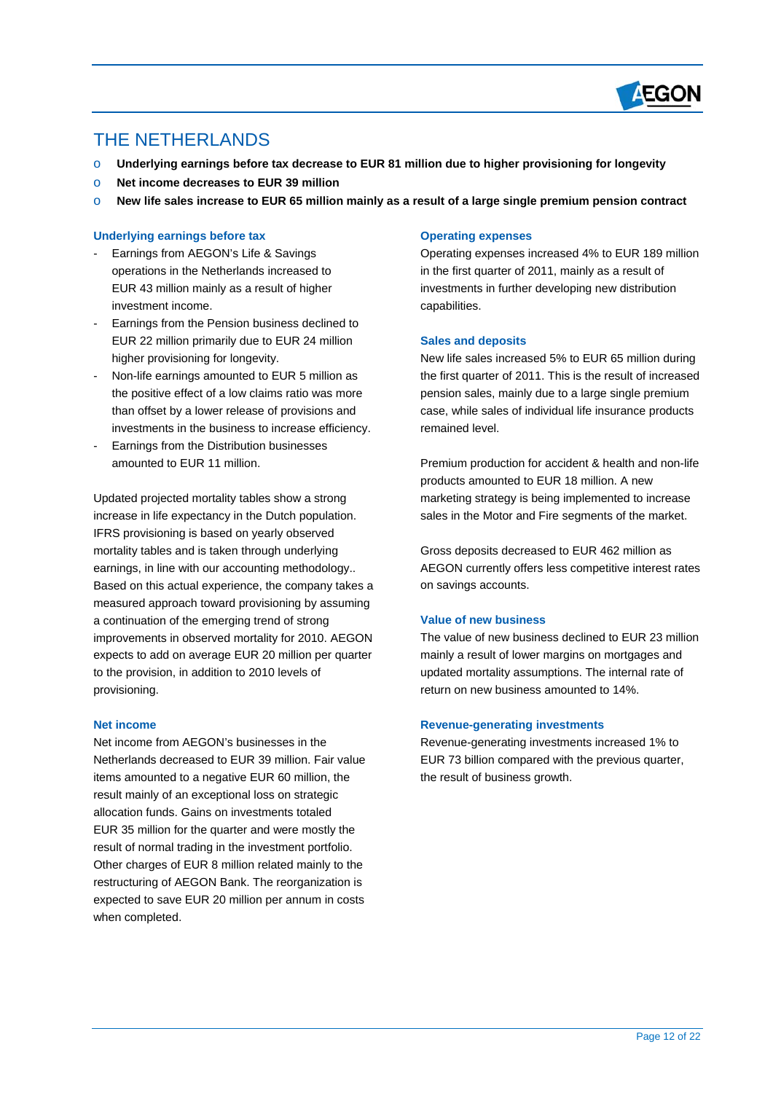

## THE NETHERLANDS

 $\overline{a}$ 

- o **Underlying earnings before tax decrease to EUR 81 million due to higher provisioning for longevity**
- o **Net income decreases to EUR 39 million**
- o **New life sales increase to EUR 65 million mainly as a result of a large single premium pension contract**

#### **Underlying earnings before tax**

- Earnings from AEGON's Life & Savings operations in the Netherlands increased to EUR 43 million mainly as a result of higher investment income.
- Earnings from the Pension business declined to EUR 22 million primarily due to EUR 24 million higher provisioning for longevity.
- Non-life earnings amounted to EUR 5 million as the positive effect of a low claims ratio was more than offset by a lower release of provisions and investments in the business to increase efficiency.
- Earnings from the Distribution businesses amounted to EUR 11 million.

Updated projected mortality tables show a strong increase in life expectancy in the Dutch population. IFRS provisioning is based on yearly observed mortality tables and is taken through underlying earnings, in line with our accounting methodology.. Based on this actual experience, the company takes a measured approach toward provisioning by assuming a continuation of the emerging trend of strong improvements in observed mortality for 2010. AEGON expects to add on average EUR 20 million per quarter to the provision, in addition to 2010 levels of provisioning.

#### **Net income**

Net income from AEGON's businesses in the Netherlands decreased to EUR 39 million. Fair value items amounted to a negative EUR 60 million, the result mainly of an exceptional loss on strategic allocation funds. Gains on investments totaled EUR 35 million for the quarter and were mostly the result of normal trading in the investment portfolio. Other charges of EUR 8 million related mainly to the restructuring of AEGON Bank. The reorganization is expected to save EUR 20 million per annum in costs when completed.

#### **Operating expenses**

Operating expenses increased 4% to EUR 189 million in the first quarter of 2011, mainly as a result of investments in further developing new distribution capabilities.

#### **Sales and deposits**

New life sales increased 5% to EUR 65 million during the first quarter of 2011. This is the result of increased pension sales, mainly due to a large single premium case, while sales of individual life insurance products remained level.

Premium production for accident & health and non-life products amounted to EUR 18 million. A new marketing strategy is being implemented to increase sales in the Motor and Fire segments of the market.

Gross deposits decreased to EUR 462 million as AEGON currently offers less competitive interest rates on savings accounts.

#### **Value of new business**

The value of new business declined to EUR 23 million mainly a result of lower margins on mortgages and updated mortality assumptions. The internal rate of return on new business amounted to 14%.

#### **Revenue-generating investments**

Revenue-generating investments increased 1% to EUR 73 billion compared with the previous quarter, the result of business growth.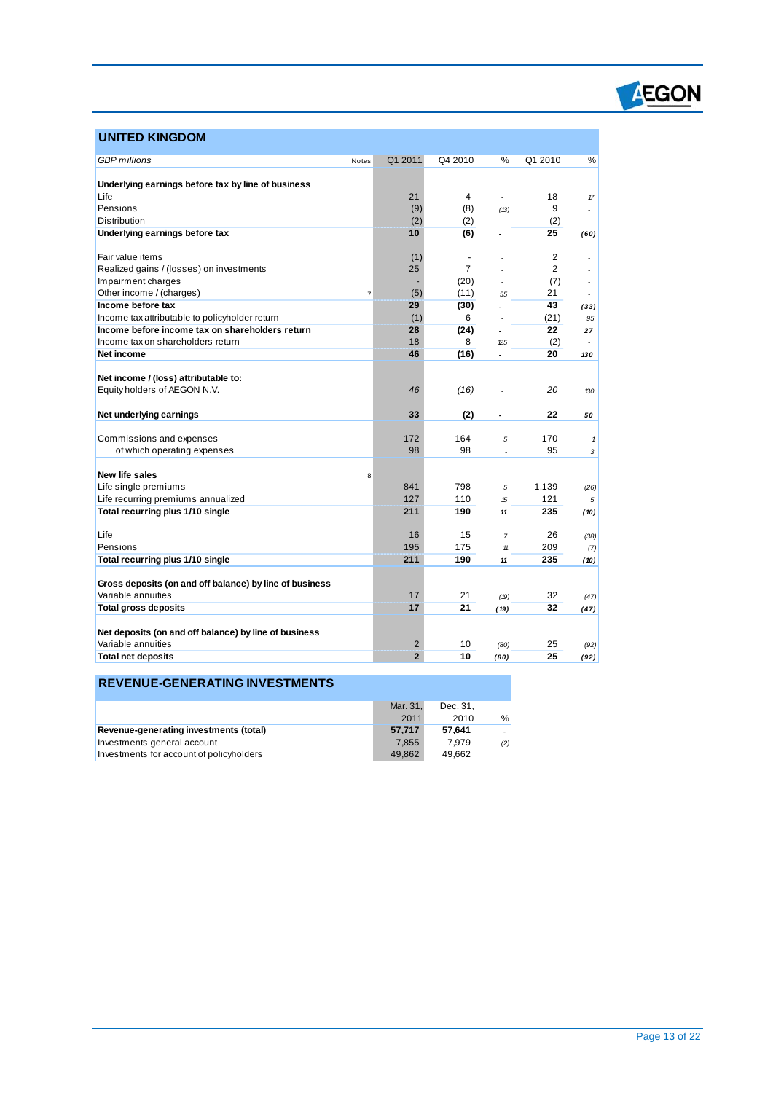

## **UNITED KINGDOM**

 $\overline{a}$ 

| <b>GBP</b> millions                                     | Notes          | Q1 2011        | Q4 2010              | %              | Q1 2010   | %            |
|---------------------------------------------------------|----------------|----------------|----------------------|----------------|-----------|--------------|
|                                                         |                |                |                      |                |           |              |
| Underlying earnings before tax by line of business      |                |                |                      |                |           |              |
| Life<br>Pensions                                        |                | 21             | 4                    | L.             | 18        | $\pi$        |
|                                                         |                | (9)            | (8)                  | (13)           | 9         | ٠            |
| Distribution                                            |                | (2)            | (2)                  |                | (2)       |              |
| Underlying earnings before tax                          |                | 10             | (6)                  |                | 25        | (60)         |
| Fair value items                                        |                | (1)            | $\ddot{\phantom{1}}$ |                | 2         | ä,           |
| Realized gains / (losses) on investments                |                | 25             | $\overline{7}$       |                | 2         | ÷.           |
| Impairment charges                                      |                |                | (20)                 |                | (7)       | ÷.           |
| Other income / (charges)                                | $\overline{7}$ | (5)            | (11)                 | 55             | 21        | ÷.           |
| Income before tax                                       |                | 29             | (30)                 | ٠              | 43        | (33)         |
| Income tax attributable to policyholder return          |                | (1)            | 6                    |                | (21)      | 95           |
| Income before income tax on shareholders return         |                | 28             | (24)                 |                | 22        | 27           |
| Income tax on shareholders return                       |                | 18             | 8                    | 25             | (2)       |              |
| Net income                                              |                | 46             | (16)                 |                | 20        | 130          |
|                                                         |                |                |                      |                |           |              |
| Net income / (loss) attributable to:                    |                |                |                      |                |           |              |
| Equity holders of AEGON N.V.                            |                | 46             | (16)                 |                | 20        | 130          |
|                                                         |                |                |                      |                |           |              |
| Net underlying earnings                                 |                | 33             | (2)                  | ä,             | 22        | 50           |
|                                                         |                |                |                      |                |           |              |
| Commissions and expenses<br>of which operating expenses |                | 172<br>98      | 164<br>98            | 5              | 170<br>95 | $\mathbf{1}$ |
|                                                         |                |                |                      | ÷.             |           | 3            |
| New life sales                                          | 8              |                |                      |                |           |              |
| Life single premiums                                    |                | 841            | 798                  | 5              | 1,139     | (26)         |
| Life recurring premiums annualized                      |                | 127            | 110                  | 15             | 121       | 5            |
| Total recurring plus 1/10 single                        |                | 211            | 190                  | 11             | 235       | (10)         |
|                                                         |                |                |                      |                |           |              |
| Life                                                    |                | 16             | 15                   | $\overline{7}$ | 26        | (38)         |
| Pensions                                                |                | 195            | 175                  | 11             | 209       | (7)          |
| Total recurring plus 1/10 single                        |                | 211            | 190                  | 11             | 235       | (10)         |
|                                                         |                |                |                      |                |           |              |
| Gross deposits (on and off balance) by line of business |                |                |                      |                |           |              |
| Variable annuities                                      |                | 17             | 21                   | (19)           | 32        | (47)         |
| <b>Total gross deposits</b>                             |                | 17             | 21                   | (19)           | 32        | (47)         |
|                                                         |                |                |                      |                |           |              |
| Net deposits (on and off balance) by line of business   |                |                |                      |                |           |              |
| Variable annuities                                      |                | $\overline{2}$ | 10                   | (80)           | 25        | (92)         |
| <b>Total net deposits</b>                               |                | $\overline{2}$ | 10                   | (80)           | 25        | (92)         |
|                                                         |                |                |                      |                |           |              |

## **REVENUE-GENERATING INVESTMENTS**

|                                          | Mar. 31. | Dec. 31. |     |
|------------------------------------------|----------|----------|-----|
|                                          | 2011     | 2010     | %   |
| Revenue-generating investments (total)   | 57.717   | 57.641   |     |
| Investments general account              | 7.855    | 7.979    | (2) |
| Investments for account of policyholders | 49.862   | 49.662   |     |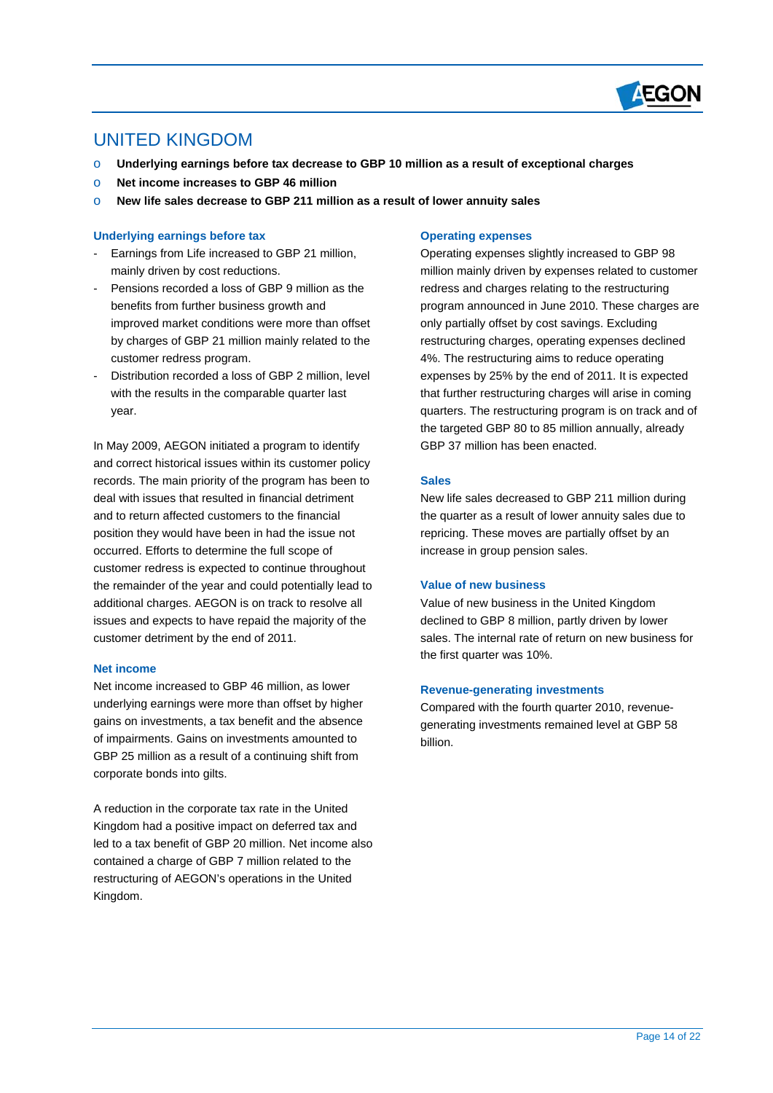

## UNITED KINGDOM

 $\overline{a}$ 

- o **Underlying earnings before tax decrease to GBP 10 million as a result of exceptional charges**
- o **Net income increases to GBP 46 million**
- o **New life sales decrease to GBP 211 million as a result of lower annuity sales**

#### **Underlying earnings before tax**

- Earnings from Life increased to GBP 21 million, mainly driven by cost reductions.
- Pensions recorded a loss of GBP 9 million as the benefits from further business growth and improved market conditions were more than offset by charges of GBP 21 million mainly related to the customer redress program.
- Distribution recorded a loss of GBP 2 million, level with the results in the comparable quarter last year.

In May 2009, AEGON initiated a program to identify and correct historical issues within its customer policy records. The main priority of the program has been to deal with issues that resulted in financial detriment and to return affected customers to the financial position they would have been in had the issue not occurred. Efforts to determine the full scope of customer redress is expected to continue throughout the remainder of the year and could potentially lead to additional charges. AEGON is on track to resolve all issues and expects to have repaid the majority of the customer detriment by the end of 2011.

#### **Net income**

Net income increased to GBP 46 million, as lower underlying earnings were more than offset by higher gains on investments, a tax benefit and the absence of impairments. Gains on investments amounted to GBP 25 million as a result of a continuing shift from corporate bonds into gilts.

A reduction in the corporate tax rate in the United Kingdom had a positive impact on deferred tax and led to a tax benefit of GBP 20 million. Net income also contained a charge of GBP 7 million related to the restructuring of AEGON's operations in the United Kingdom.

### **Operating expenses**

Operating expenses slightly increased to GBP 98 million mainly driven by expenses related to customer redress and charges relating to the restructuring program announced in June 2010. These charges are only partially offset by cost savings. Excluding restructuring charges, operating expenses declined 4%. The restructuring aims to reduce operating expenses by 25% by the end of 2011. It is expected that further restructuring charges will arise in coming quarters. The restructuring program is on track and of the targeted GBP 80 to 85 million annually, already GBP 37 million has been enacted.

#### **Sales**

New life sales decreased to GBP 211 million during the quarter as a result of lower annuity sales due to repricing. These moves are partially offset by an increase in group pension sales.

#### **Value of new business**

Value of new business in the United Kingdom declined to GBP 8 million, partly driven by lower sales. The internal rate of return on new business for the first quarter was 10%.

#### **Revenue-generating investments**

Compared with the fourth quarter 2010, revenuegenerating investments remained level at GBP 58 billion.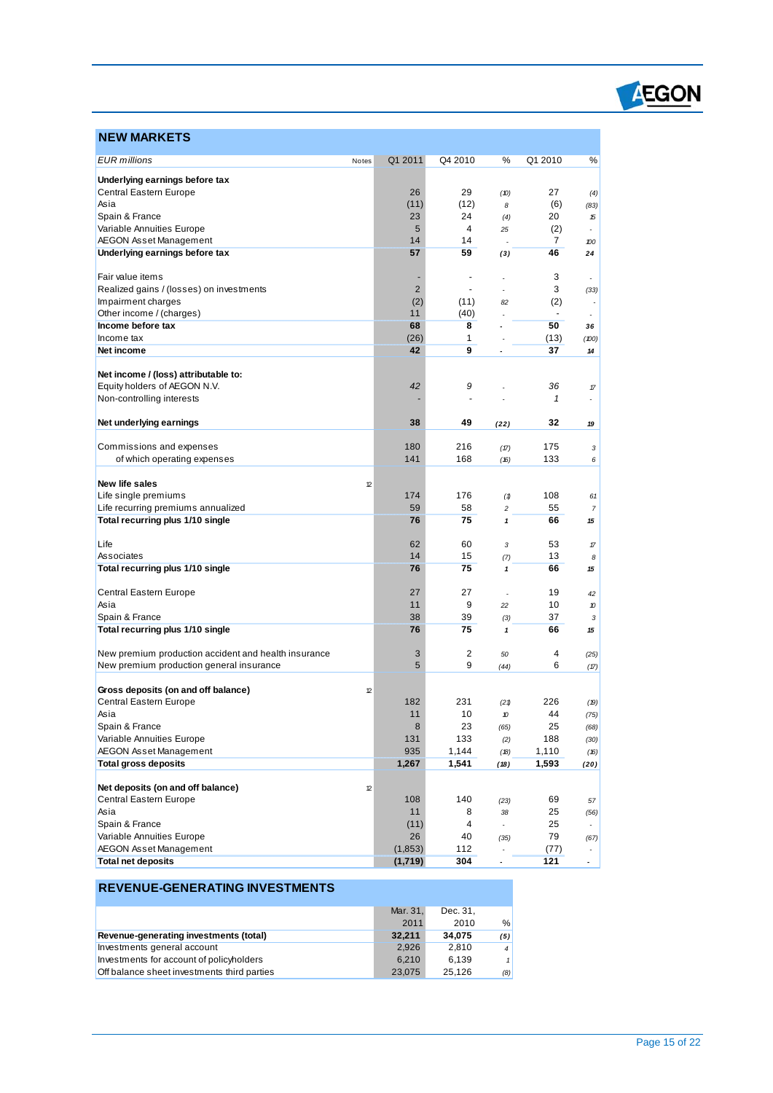

## **NEW MARKETS**

 $\overline{a}$ 

| <b>EUR</b> millions                                  | Notes | Q1 2011        | Q4 2010        | %                        | Q1 2010    | %                        |
|------------------------------------------------------|-------|----------------|----------------|--------------------------|------------|--------------------------|
|                                                      |       |                |                |                          |            |                          |
| Underlying earnings before tax                       |       |                |                |                          |            |                          |
| Central Eastern Europe                               |       | 26             | 29             | (10)                     | 27         | (4)                      |
| Asia<br>Spain & France                               |       | (11)<br>23     | (12)<br>24     | 8                        | (6)<br>20  | (83)                     |
| Variable Annuities Europe                            |       | 5              | 4              | (4)<br>25                | (2)        | 15<br>÷.                 |
| <b>AEGON Asset Management</b>                        |       | 14             | 14             |                          | 7          | 100                      |
| Underlying earnings before tax                       |       | 57             | 59             | (3)                      | 46         | 24                       |
|                                                      |       |                |                |                          |            |                          |
| Fair value items                                     |       |                | ä,             |                          | 3          | $\overline{\phantom{a}}$ |
| Realized gains / (losses) on investments             |       | $\overline{2}$ | $\blacksquare$ |                          | 3          | (33)                     |
| Impairment charges                                   |       | (2)            | (11)           | 82                       | (2)        | $\overline{\phantom{a}}$ |
| Other income / (charges)                             |       | 11             | (40)           |                          |            | $\epsilon$               |
| Income before tax                                    |       | 68             | 8              |                          | 50         | 36                       |
| Income tax<br>Net income                             |       | (26)<br>42     | 1<br>9         |                          | (13)<br>37 | (100)                    |
|                                                      |       |                |                |                          |            | 14                       |
| Net income / (loss) attributable to:                 |       |                |                |                          |            |                          |
| Equity holders of AEGON N.V.                         |       | 42             | 9              |                          | 36         | 17                       |
| Non-controlling interests                            |       |                |                |                          | 1          | ä,                       |
|                                                      |       |                |                |                          |            |                          |
| Net underlying earnings                              |       | 38             | 49             | (22)                     | 32         | 19                       |
| Commissions and expenses                             |       | 180            | 216            |                          | 175        | 3                        |
| of which operating expenses                          |       | 141            | 168            | (17)<br>(16)             | 133        | 6                        |
|                                                      |       |                |                |                          |            |                          |
| New life sales                                       | 12    |                |                |                          |            |                          |
| Life single premiums                                 |       | 174            | 176            | (1)                      | 108        | 61                       |
| Life recurring premiums annualized                   |       | 59             | 58             | 2                        | 55         | 7                        |
| Total recurring plus 1/10 single                     |       | 76             | 75             | 1                        | 66         | 15                       |
| Life                                                 |       | 62             | 60             |                          | 53         |                          |
| Associates                                           |       | 14             | 15             | 3<br>(7)                 | 13         | 17<br>8                  |
| Total recurring plus 1/10 single                     |       | 76             | 75             | $\mathbf{1}$             | 66         | 15                       |
|                                                      |       |                |                |                          |            |                          |
| Central Eastern Europe                               |       | 27             | 27             |                          | 19         | 42                       |
| Asia                                                 |       | 11             | 9              | 22                       | 10         | 10                       |
| Spain & France                                       |       | 38             | 39             | (3)                      | 37         | 3                        |
| Total recurring plus 1/10 single                     |       | 76             | 75             | $\pmb{\mathcal{I}}$      | 66         | 15                       |
| New premium production accident and health insurance |       | 3              | 2              | 50                       | 4          |                          |
| New premium production general insurance             |       | 5              | 9              | (44)                     | 6          | (25)<br>(17)             |
|                                                      |       |                |                |                          |            |                          |
| Gross deposits (on and off balance)                  | 12    |                |                |                          |            |                          |
| Central Eastern Europe                               |       | 182            | 231            | (21)                     | 226        | (19)                     |
| Asia                                                 |       | 11             | 10             | 10                       | 44         | (75)                     |
| Spain & France                                       |       | 8              | 23             | (65)                     | 25         | (68)                     |
| Variable Annuities Europe                            |       | 131            | 133            | (2)                      | 188        | (30)                     |
| AEGON Asset Management                               |       | 935            | 1,144          | (18)                     | 1,110      | (16)                     |
| <b>Total gross deposits</b>                          |       | 1,267          | 1,541          | (18)                     | 1,593      | (20)                     |
| Net deposits (on and off balance)                    | 12    |                |                |                          |            |                          |
| Central Eastern Europe                               |       | 108            | 140            | (23)                     | 69         | 57                       |
| Asia                                                 |       | 11             | 8              | 38                       | 25         | (56)                     |
| Spain & France                                       |       | (11)           | 4              | $\overline{\phantom{a}}$ | 25         | $\bullet$                |
| Variable Annuities Europe                            |       | 26             | 40             | (35)                     | 79         | (67)                     |
| AEGON Asset Management                               |       | (1,853)        | 112            |                          | (77)       |                          |
| <b>Total net deposits</b>                            |       | (1,719)        | 304            |                          | 121        | $\bullet$                |

## **REVENUE-GENERATING INVESTMENTS**

|                                             | Mar. 31. | Dec. 31. |                |
|---------------------------------------------|----------|----------|----------------|
|                                             | 2011     | 2010     | %              |
| Revenue-generating investments (total)      | 32.211   | 34.075   | (5)            |
| Investments general account                 | 2.926    | 2.810    | $\overline{4}$ |
| Investments for account of policyholders    | 6.210    | 6.139    | 1              |
| Off balance sheet investments third parties | 23.075   | 25.126   | (8)            |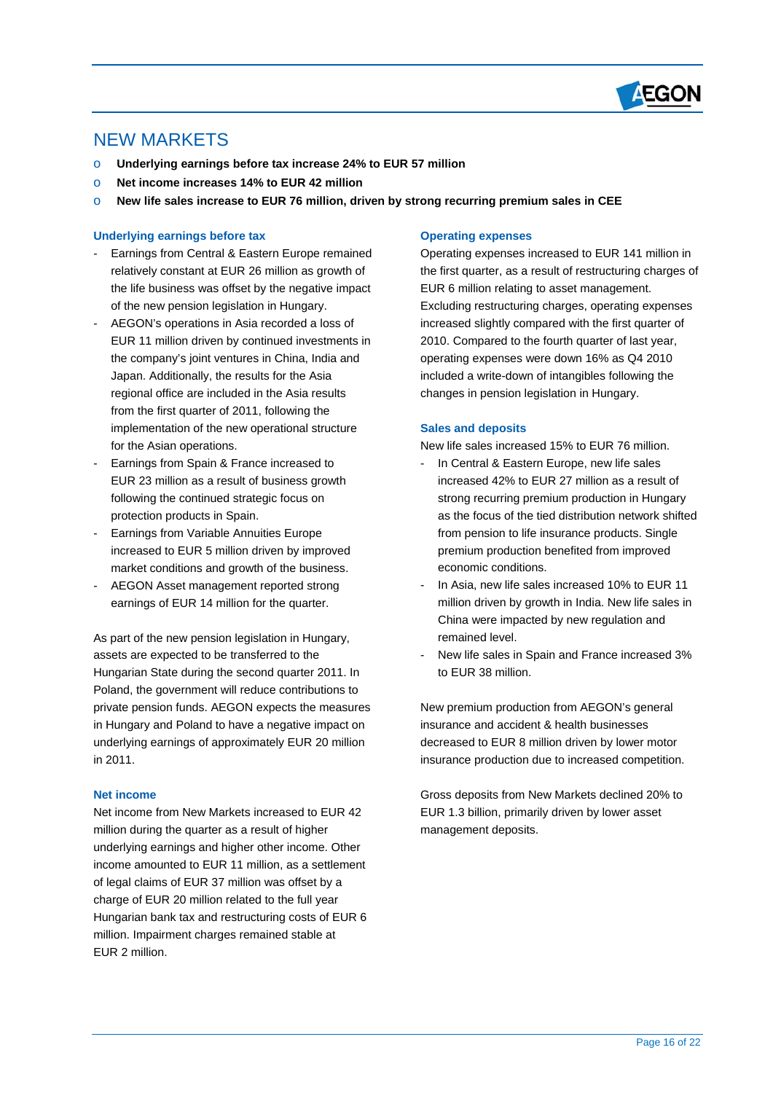

## NEW MARKETS

 $\overline{a}$ 

- o **Underlying earnings before tax increase 24% to EUR 57 million**
- o **Net income increases 14% to EUR 42 million**
- o **New life sales increase to EUR 76 million, driven by strong recurring premium sales in CEE**

### **Underlying earnings before tax**

- Earnings from Central & Eastern Europe remained relatively constant at EUR 26 million as growth of the life business was offset by the negative impact of the new pension legislation in Hungary.
- AEGON's operations in Asia recorded a loss of EUR 11 million driven by continued investments in the company's joint ventures in China, India and Japan. Additionally, the results for the Asia regional office are included in the Asia results from the first quarter of 2011, following the implementation of the new operational structure for the Asian operations.
- Earnings from Spain & France increased to EUR 23 million as a result of business growth following the continued strategic focus on protection products in Spain.
- Earnings from Variable Annuities Europe increased to EUR 5 million driven by improved market conditions and growth of the business.
- AEGON Asset management reported strong earnings of EUR 14 million for the quarter.

As part of the new pension legislation in Hungary, assets are expected to be transferred to the Hungarian State during the second quarter 2011. In Poland, the government will reduce contributions to private pension funds. AEGON expects the measures in Hungary and Poland to have a negative impact on underlying earnings of approximately EUR 20 million in 2011.

### **Net income**

Net income from New Markets increased to EUR 42 million during the quarter as a result of higher underlying earnings and higher other income. Other income amounted to EUR 11 million, as a settlement of legal claims of EUR 37 million was offset by a charge of EUR 20 million related to the full year Hungarian bank tax and restructuring costs of EUR 6 million. Impairment charges remained stable at EUR 2 million.

### **Operating expenses**

Operating expenses increased to EUR 141 million in the first quarter, as a result of restructuring charges of EUR 6 million relating to asset management. Excluding restructuring charges, operating expenses increased slightly compared with the first quarter of 2010. Compared to the fourth quarter of last year, operating expenses were down 16% as Q4 2010 included a write-down of intangibles following the changes in pension legislation in Hungary.

### **Sales and deposits**

New life sales increased 15% to EUR 76 million.

- In Central & Eastern Europe, new life sales increased 42% to EUR 27 million as a result of strong recurring premium production in Hungary as the focus of the tied distribution network shifted from pension to life insurance products. Single premium production benefited from improved economic conditions.
- In Asia, new life sales increased 10% to EUR 11 million driven by growth in India. New life sales in China were impacted by new regulation and remained level.
- New life sales in Spain and France increased 3% to EUR 38 million.

New premium production from AEGON's general insurance and accident & health businesses decreased to EUR 8 million driven by lower motor insurance production due to increased competition.

Gross deposits from New Markets declined 20% to EUR 1.3 billion, primarily driven by lower asset management deposits.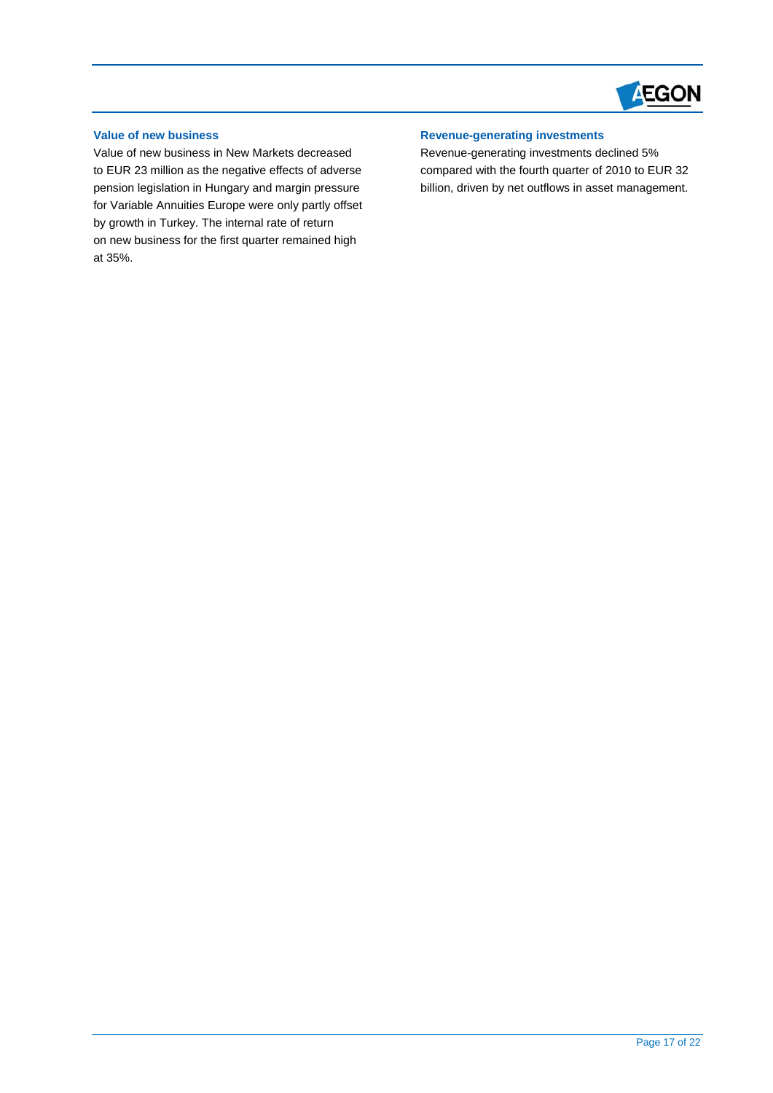

## **Value of new business**

 $\overline{a}$ 

Value of new business in New Markets decreased to EUR 23 million as the negative effects of adverse pension legislation in Hungary and margin pressure for Variable Annuities Europe were only partly offset by growth in Turkey. The internal rate of return on new business for the first quarter remained high at 35%.

### **Revenue-generating investments**

Revenue-generating investments declined 5% compared with the fourth quarter of 2010 to EUR 32 billion, driven by net outflows in asset management.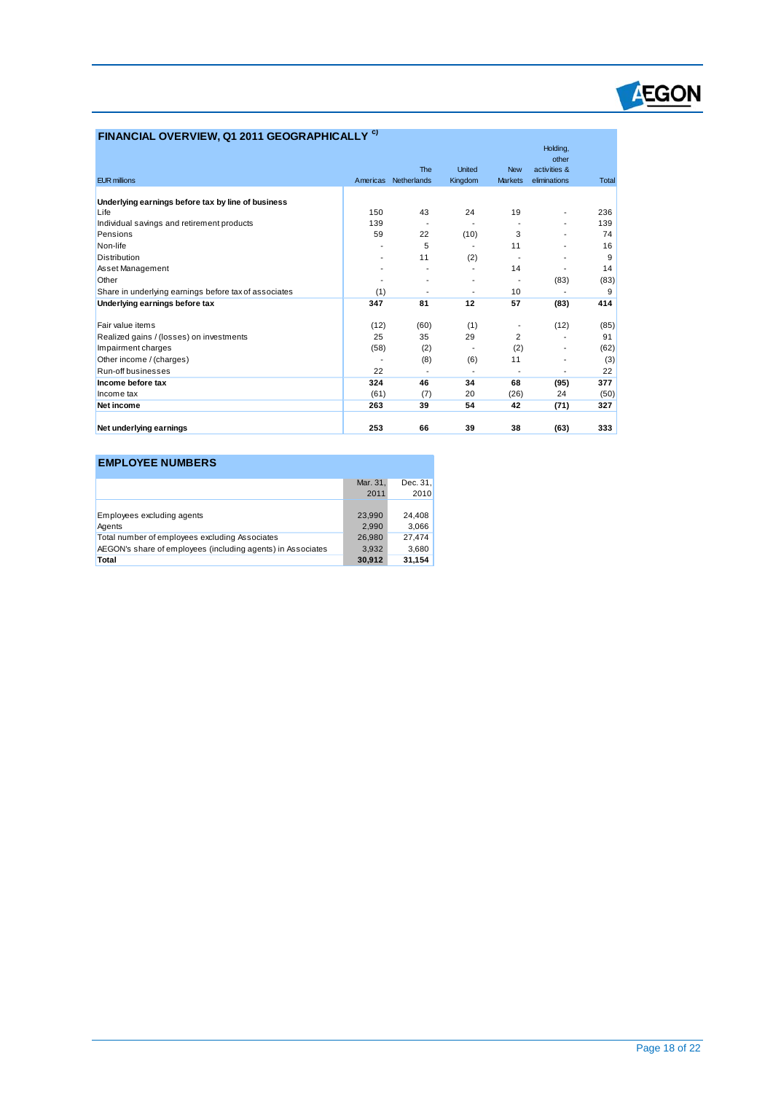

## **FINANCIAL OVERVIEW, Q1 2011 GEOGRAPHICALLY c)**

|                                                       |          |             |               |                | Holding,                 |       |
|-------------------------------------------------------|----------|-------------|---------------|----------------|--------------------------|-------|
|                                                       |          | The         | <b>United</b> | <b>New</b>     | other<br>activities &    |       |
| <b>EUR millions</b>                                   | Americas | Netherlands | Kingdom       | <b>Markets</b> | eliminations             | Total |
|                                                       |          |             |               |                |                          |       |
| Underlying earnings before tax by line of business    |          |             |               |                |                          |       |
| Life                                                  | 150      | 43          | 24            | 19             | $\overline{\phantom{a}}$ | 236   |
| Individual savings and retirement products            | 139      |             |               |                |                          | 139   |
| Pensions                                              | 59       | 22          | (10)          | 3              |                          | 74    |
| Non-life                                              |          | 5           |               | 11             |                          | 16    |
| <b>Distribution</b>                                   |          | 11          | (2)           |                |                          | 9     |
| Asset Management                                      |          |             |               | 14             |                          | 14    |
| Other                                                 |          | ٠           | ٠             | ٠              | (83)                     | (83)  |
| Share in underlying earnings before tax of associates | (1)      |             |               | 10             |                          | 9     |
| Underlying earnings before tax                        | 347      | 81          | 12            | 57             | (83)                     | 414   |
| Fair value items                                      | (12)     | (60)        | (1)           |                | (12)                     | (85)  |
| Realized gains / (losses) on investments              | 25       | 35          | 29            | 2              |                          | 91    |
| Impairment charges                                    | (58)     | (2)         |               | (2)            |                          | (62)  |
| Other income / (charges)                              |          | (8)         | (6)           | 11             |                          | (3)   |
| Run-off businesses                                    | 22       |             |               |                |                          | 22    |
| Income before tax                                     | 324      | 46          | 34            | 68             | (95)                     | 377   |
| Income tax                                            | (61)     | (7)         | 20            | (26)           | 24                       | (50)  |
| Net income                                            | 263      | 39          | 54            | 42             | (71)                     | 327   |
| Net underlying earnings                               | 253      | 66          | 39            | 38             | (63)                     | 333   |

## **EMPLOYEE NUMBERS**

 $\overline{a}$ 

|                                                             | Mar. 31, | Dec. 31. |
|-------------------------------------------------------------|----------|----------|
|                                                             | 2011     | 2010     |
|                                                             |          |          |
| Employees excluding agents                                  | 23.990   | 24,408   |
| Agents                                                      | 2.990    | 3.066    |
| Total number of employees excluding Associates              | 26.980   | 27.474   |
| AEGON's share of employees (including agents) in Associates | 3.932    | 3,680    |
| Total                                                       | 30.912   | 31,154   |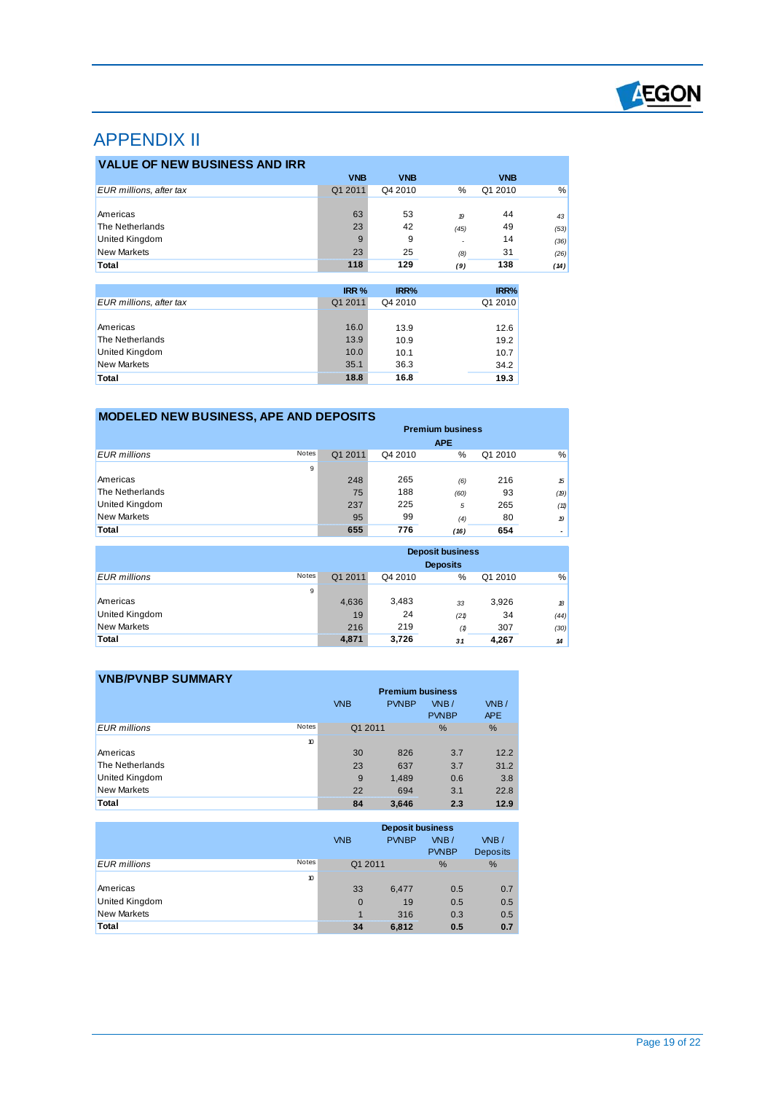

# APPENDIX II

 $\overline{a}$ 

| <b>VALUE OF NEW BUSINESS AND IRR</b> |            |            |                  |            |      |
|--------------------------------------|------------|------------|------------------|------------|------|
|                                      | <b>VNB</b> | <b>VNB</b> |                  | <b>VNB</b> |      |
| <b>EUR millions, after tax</b>       | Q1 2011    | Q4 2010    | %                | Q1 2010    | %    |
|                                      |            |            |                  |            |      |
| Americas                             | 63         | 53         | $\boldsymbol{p}$ | 44         | 43   |
| The Netherlands                      | 23         | 42         | (45)             | 49         | (53) |
| <b>United Kingdom</b>                | 9          | 9          |                  | 14         | (36) |
| <b>New Markets</b>                   | 23         | 25         | (8)              | 31         | (26) |
| Total                                | 118        | 129        | (9)              | 138        | (14) |

|                         | IRR <sub>%</sub> | IRR%    | IRR%    |
|-------------------------|------------------|---------|---------|
| EUR millions, after tax | Q1 2011          | Q4 2010 | Q1 2010 |
|                         |                  |         |         |
| Americas                | 16.0             | 13.9    | 12.6    |
| The Netherlands         | 13.9             | 10.9    | 19.2    |
| <b>United Kingdom</b>   | 10.0             | 10.1    | 10.7    |
| New Markets             | 35.1             | 36.3    | 34.2    |
| Total                   | 18.8             | 16.8    | 19.3    |

| <b>MODELED NEW BUSINESS, APE AND DEPOSITS</b> |              |                         |         |            |         |      |
|-----------------------------------------------|--------------|-------------------------|---------|------------|---------|------|
|                                               |              | <b>Premium business</b> |         |            |         |      |
|                                               |              |                         |         | <b>APE</b> |         |      |
| EUR millions                                  | <b>Notes</b> | Q1 2011                 | Q4 2010 | %          | Q1 2010 | %    |
|                                               | 9            |                         |         |            |         |      |
| Americas                                      |              | 248                     | 265     | (6)        | 216     | 15   |
| The Netherlands                               |              | 75                      | 188     | (60)       | 93      | (19) |
| <b>United Kingdom</b>                         |              | 237                     | 225     | 5          | 265     | (11) |
| <b>New Markets</b>                            |              | 95                      | 99      | (4)        | 80      | 19   |
| Total                                         |              | 655                     | 776     | (16)       | 654     | ۰    |

|                       |       | <b>Deposit business</b><br><b>Deposits</b> |         |      |         |      |
|-----------------------|-------|--------------------------------------------|---------|------|---------|------|
| <b>EUR</b> millions   | Notes | Q1 2011                                    | Q4 2010 | %    | Q1 2010 | $\%$ |
|                       | 9     |                                            |         |      |         |      |
| Americas              |       | 4,636                                      | 3,483   | 33   | 3,926   | 18   |
| <b>United Kingdom</b> |       | 19                                         | 24      | (21) | 34      | (44) |
| <b>New Markets</b>    |       | 216                                        | 219     | (1)  | 307     | (30) |
| <b>Total</b>          |       | 4,871                                      | 3,726   | 31   | 4,267   | 14   |

| <b>VNB/PVNBP SUMMARY</b> |       |            | <b>Premium business</b> |                      |                    |
|--------------------------|-------|------------|-------------------------|----------------------|--------------------|
|                          |       | <b>VNB</b> | <b>PVNBP</b>            | VNB/<br><b>PVNBP</b> | WBB/<br><b>APE</b> |
| <b>EUR</b> millions      | Notes | Q1 2011    |                         | $\%$                 | %                  |
|                          | 10    |            |                         |                      |                    |
| Americas                 |       | 30         | 826                     | 3.7                  | 12.2               |
| The Netherlands          |       | 23         | 637                     | 3.7                  | 31.2               |
| United Kingdom           |       | 9          | 1,489                   | 0.6                  | 3.8                |
| <b>New Markets</b>       |       | 22         | 694                     | 3.1                  | 22.8               |

|                       |       | <b>Deposit business</b> |              |                      |                         |  |
|-----------------------|-------|-------------------------|--------------|----------------------|-------------------------|--|
|                       |       | <b>VNB</b>              | <b>PVNBP</b> | VNB/<br><b>PVNBP</b> | VNB/<br><b>Deposits</b> |  |
| <b>EUR</b> millions   | Notes | Q1 2011                 |              | %                    | %                       |  |
|                       | 10    |                         |              |                      |                         |  |
| Americas              |       | 33                      | 6,477        | 0.5                  | 0.7                     |  |
| <b>United Kingdom</b> |       | $\mathbf 0$             | 19           | 0.5                  | 0.5                     |  |
| <b>New Markets</b>    |       | $\mathbf 1$             | 316          | 0.3                  | 0.5                     |  |
| Total                 |       | 34                      | 6,812        | 0.5                  | 0.7                     |  |

**Total 3,646 84 2.3 12.9**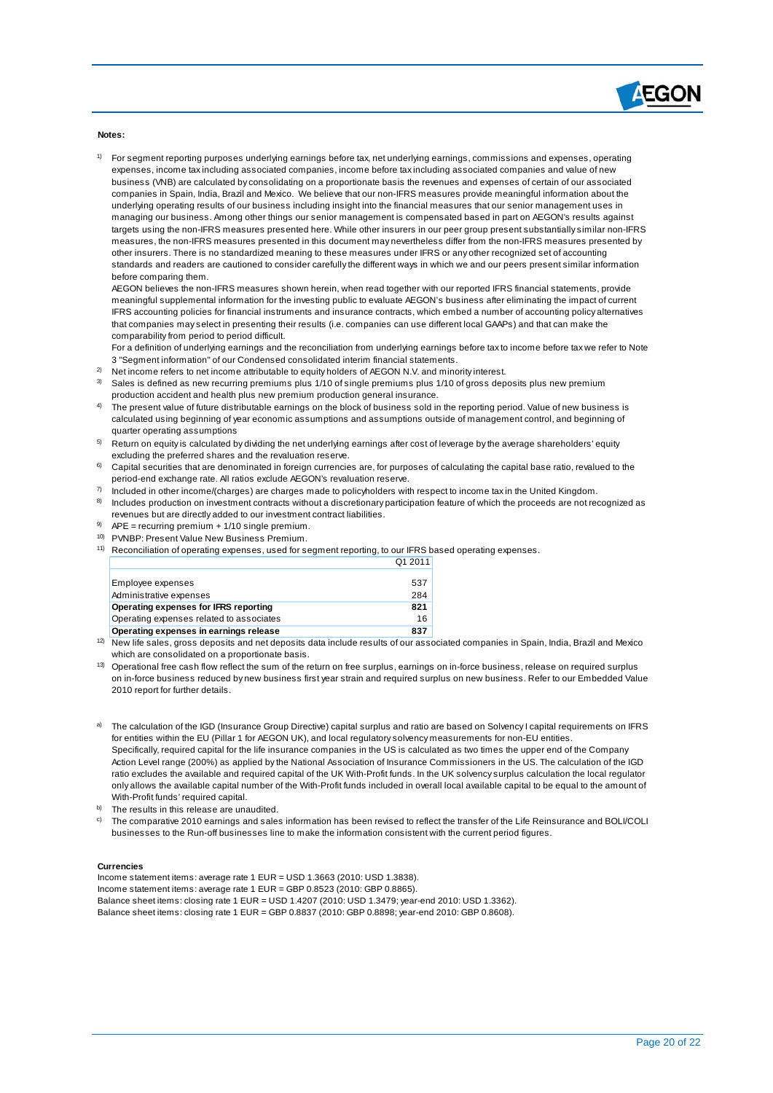

**Notes:**

 $\overline{a}$ 

<sup>1)</sup> For segment reporting purposes underlying earnings before tax, net underlying earnings, commissions and expenses, operating expenses, income tax including associated companies, income before tax including associated companies and value of new business (VNB) are calculated by consolidating on a proportionate basis the revenues and expenses of certain of our associated companies in Spain, India, Brazil and Mexico. We believe that our non-IFRS measures provide meaningful information about the underlying operating results of our business including insight into the financial measures that our senior management uses in managing our business. Among other things our senior management is compensated based in part on AEGON's results against targets using the non-IFRS measures presented here. While other insurers in our peer group present substantially similar non-IFRS measures, the non-IFRS measures presented in this document may nevertheless differ from the non-IFRS measures presented by other insurers. There is no standardized meaning to these measures under IFRS or any other recognized set of accounting standards and readers are cautioned to consider carefully the different ways in which we and our peers present similar information before comparing them.

AEGON believes the non-IFRS measures shown herein, when read together with our reported IFRS financial statements, provide meaningful supplemental information for the investing public to evaluate AEGON's business after eliminating the impact of current IFRS accounting policies for financial instruments and insurance contracts, which embed a number of accounting policy alternatives that companies may select in presenting their results (i.e. companies can use different local GAAPs) and that can make the comparability from period to period difficult.

For a definition of underlying earnings and the reconciliation from underlying earnings before tax to income before tax we refer to Note 3 "Segment information" of our Condensed consolidated interim financial statements.

- 2) Net income refers to net income attributable to equity holders of AEGON N.V. and minority interest.
- 3) Sales is defined as new recurring premiums plus 1/10 of single premiums plus 1/10 of gross deposits plus new premium production accident and health plus new premium production general insurance.
- 4) The present value of future distributable earnings on the block of business sold in the reporting period. Value of new business is calculated using beginning of year economic assumptions and assumptions outside of management control, and beginning of quarter operating assumptions
- $5$  Return on equity is calculated by dividing the net underlying earnings after cost of leverage by the average shareholders' equity excluding the preferred shares and the revaluation reserve.
- 6) Capital securities that are denominated in foreign currencies are, for purposes of calculating the capital base ratio, revalued to the period-end exchange rate. All ratios exclude AEGON's revaluation reserve.
- 7) Included in other income/(charges) are charges made to policyholders with respect to income tax in the United Kingdom.
- 8) Includes production on investment contracts without a discretionary participation feature of which the proceeds are not recognized as revenues but are directly added to our investment contract liabilities.
- 9) APE = recurring premium + 1/10 single premium.
- 10) PVNBP: Present Value New Business Premium.
- <sup>11)</sup> Reconciliation of operating expenses, used for segment reporting, to our IFRS based operating expenses. Q1 2011

| Employee expenses                        | 537 |
|------------------------------------------|-----|
| Administrative expenses                  | 284 |
| Operating expenses for IFRS reporting    | 821 |
| Operating expenses related to associates | 16  |
| Operating expenses in earnings release   | 837 |

<sup>12)</sup> New life sales, gross deposits and net deposits data include results of our associated companies in Spain, India, Brazil and Mexico which are consolidated on a proportionate basis.

- <sup>13)</sup> Operational free cash flow reflect the sum of the return on free surplus, earnings on in-force business, release on required surplus on in-force business reduced by new business first year strain and required surplus on new business. Refer to our Embedded Value 2010 report for further details.
- a) The calculation of the IGD (Insurance Group Directive) capital surplus and ratio are based on Solvency I capital requirements on IFRS for entities within the EU (Pillar 1 for AEGON UK), and local regulatory solvency measurements for non-EU entities. Specifically, required capital for the life insurance companies in the US is calculated as two times the upper end of the Company Action Level range (200%) as applied by the National Association of Insurance Commissioners in the US. The calculation of the IGD ratio excludes the available and required capital of the UK With-Profit funds. In the UK solvency surplus calculation the local regulator only allows the available capital number of the With-Profit funds included in overall local available capital to be equal to the amount of With-Profit funds' required capital.
- b) The results in this release are unaudited.
- <sup>c)</sup> The comparative 2010 earnings and sales information has been revised to reflect the transfer of the Life Reinsurance and BOLI/COLI businesses to the Run-off businesses line to make the information consistent with the current period figures.

#### **Currencies**

Income statement items: average rate 1 EUR = USD 1.3663 (2010: USD 1.3838). Income statement items: average rate 1 EUR = GBP 0.8523 (2010: GBP 0.8865). Balance sheet items: closing rate 1 EUR = USD 1.4207 (2010: USD 1.3479; year-end 2010: USD 1.3362). Balance sheet items: closing rate 1 EUR = GBP 0.8837 (2010: GBP 0.8898; year-end 2010: GBP 0.8608).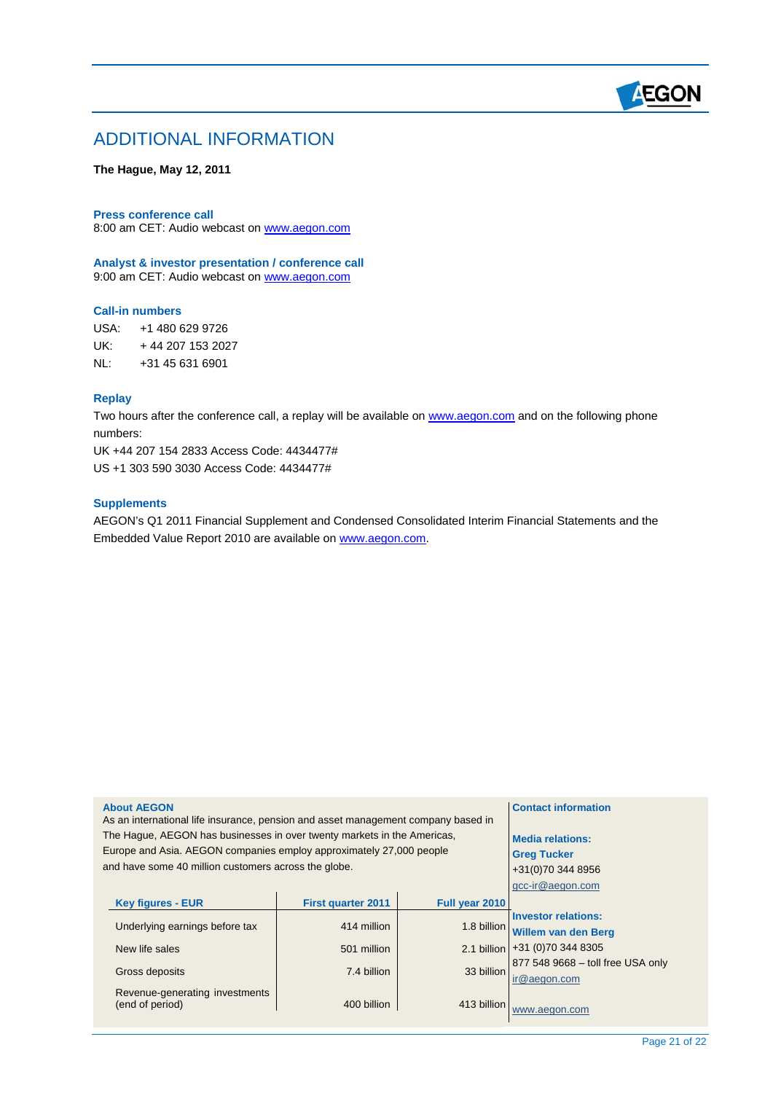

## ADDITIONAL INFORMATION

**The Hague, May 12, 2011** 

#### **Press conference call**

8:00 am CET: Audio webcast on [www.aegon.com](http://www.aegon.com/)

**Analyst & investor presentation / conference call** 9:00 am CET: Audio webcast on [www.aegon.com](http://www.aegon.com/)

#### **Call-in numbers**

USA: +1 480 629 9726 UK: + 44 207 153 2027 NL: +31 45 631 6901

### **Replay**

 $\overline{a}$ 

Two hours after the conference call, a replay will be available on [www.aegon.com](http://www.aegon.com/) and on the following phone numbers:

UK +44 207 154 2833 Access Code: 4434477# US +1 303 590 3030 Access Code: 4434477#

#### **Supplements**

AEGON's Q1 2011 Financial Supplement and Condensed Consolidated Interim Financial Statements and the Embedded Value Report 2010 are available on [www.aegon.com](http://www.aegon.com/).

#### **About AEGON**

As an international life insurance, pension and asset management company based in The Hague, AEGON has businesses in over twenty markets in the Americas, Europe and Asia. AEGON companies employ approximately 27,000 people and have some 40 million customers across the globe.

| <b>Key figures - EUR</b>       | <b>First quarter 2011</b> | Full year 2010 |                                 |
|--------------------------------|---------------------------|----------------|---------------------------------|
|                                |                           |                | <b>Investor relations:</b>      |
| Underlying earnings before tax | 414 million               |                | 1.8 billion Willem van den Berg |
| New life sales                 | 501 million               |                | 2.1 billion +31 (0)70 344 8305  |
|                                |                           |                | 877 548 9668 - toll free USA    |
| Gross deposits                 | 7.4 billion               | 33 billion     | ir@aegon.com                    |
| Revenue-generating investments |                           |                |                                 |
| (end of period)                | 400 billion               | 413 billion    | www.aegon.com                   |

only

**Contact information** 

**Media relations: Greg Tucker**  +31(0)70 344 8956 gcc-ir@aegon.com